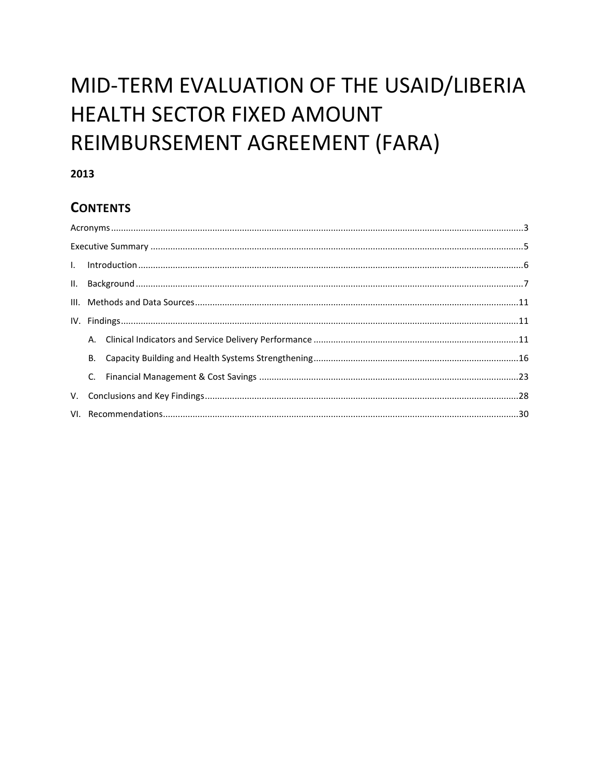# MID-TERM EVALUATION OF THE USAID/LIBERIA HEALTH SECTOR FIXED AMOUNT REIMBURSEMENT AGREEMENT (FARA)

## 2013

# **CONTENTS**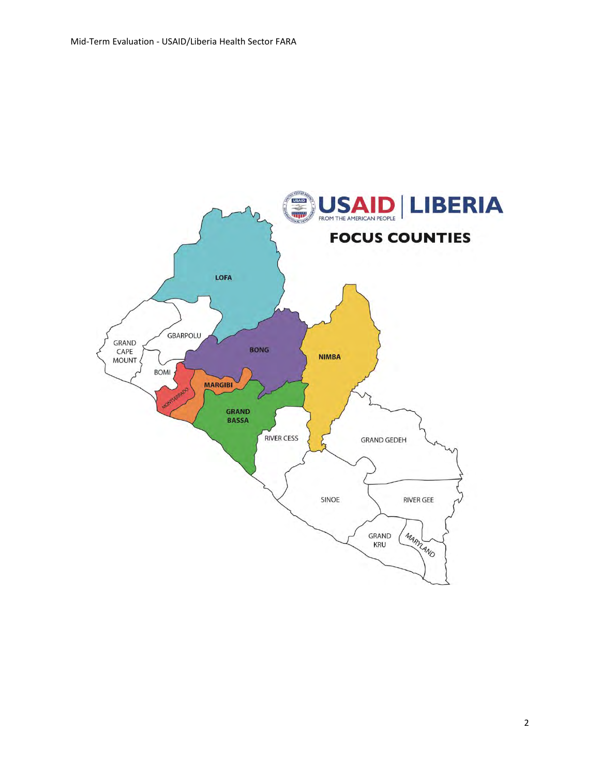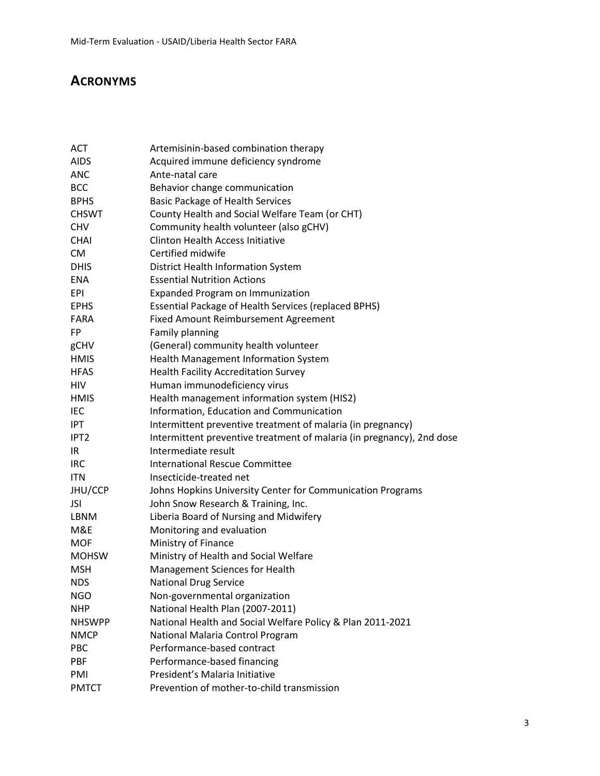# **ACRONYMS**

| ACT              | Artemisinin-based combination therapy                                 |
|------------------|-----------------------------------------------------------------------|
| <b>AIDS</b>      | Acquired immune deficiency syndrome                                   |
| <b>ANC</b>       | Ante-natal care                                                       |
| <b>BCC</b>       | Behavior change communication                                         |
| <b>BPHS</b>      | <b>Basic Package of Health Services</b>                               |
| <b>CHSWT</b>     | County Health and Social Welfare Team (or CHT)                        |
| <b>CHV</b>       | Community health volunteer (also gCHV)                                |
| <b>CHAI</b>      | <b>Clinton Health Access Initiative</b>                               |
| <b>CM</b>        | Certified midwife                                                     |
| <b>DHIS</b>      | District Health Information System                                    |
| ENA              | <b>Essential Nutrition Actions</b>                                    |
| <b>EPI</b>       | Expanded Program on Immunization                                      |
| <b>EPHS</b>      | Essential Package of Health Services (replaced BPHS)                  |
| <b>FARA</b>      | Fixed Amount Reimbursement Agreement                                  |
| FP               | Family planning                                                       |
| gCHV             | (General) community health volunteer                                  |
| <b>HMIS</b>      | Health Management Information System                                  |
| <b>HFAS</b>      | <b>Health Facility Accreditation Survey</b>                           |
| HIV              | Human immunodeficiency virus                                          |
| <b>HMIS</b>      | Health management information system (HIS2)                           |
| IEC              | Information, Education and Communication                              |
| IPT              | Intermittent preventive treatment of malaria (in pregnancy)           |
| IPT <sub>2</sub> | Intermittent preventive treatment of malaria (in pregnancy), 2nd dose |
| IR.              | Intermediate result                                                   |
| <b>IRC</b>       | <b>International Rescue Committee</b>                                 |
| <b>ITN</b>       | Insecticide-treated net                                               |
| JHU/CCP          | Johns Hopkins University Center for Communication Programs            |
| JSI              | John Snow Research & Training, Inc.                                   |
| LBNM             | Liberia Board of Nursing and Midwifery                                |
| M&E              | Monitoring and evaluation                                             |
| <b>MOF</b>       | Ministry of Finance                                                   |
| <b>MOHSW</b>     | Ministry of Health and Social Welfare                                 |
| <b>MSH</b>       | Management Sciences for Health                                        |
| <b>NDS</b>       | <b>National Drug Service</b>                                          |
| NGO              | Non-governmental organization                                         |
| <b>NHP</b>       | National Health Plan (2007-2011)                                      |
| <b>NHSWPP</b>    | National Health and Social Welfare Policy & Plan 2011-2021            |
| <b>NMCP</b>      | National Malaria Control Program                                      |
| PBC              | Performance-based contract                                            |
| PBF              | Performance-based financing                                           |
| PMI              | President's Malaria Initiative                                        |
| <b>PMTCT</b>     | Prevention of mother-to-child transmission                            |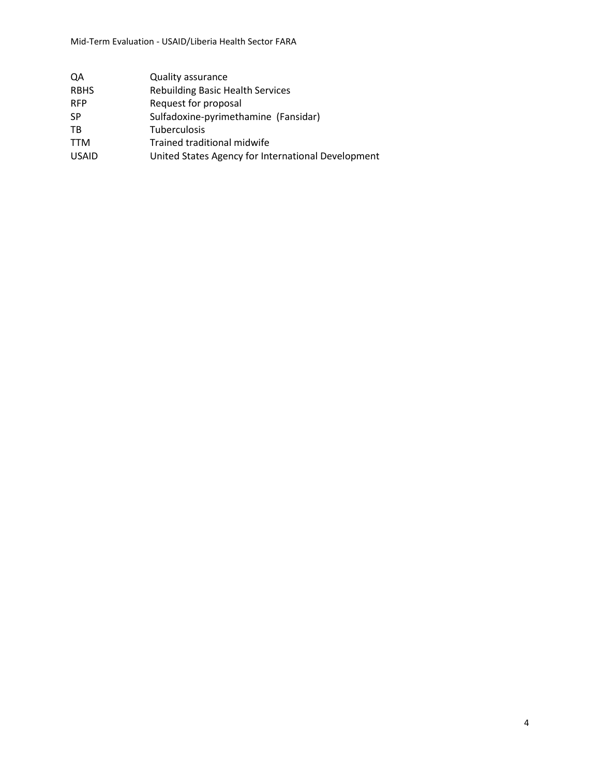| QA           | <b>Quality assurance</b>                           |
|--------------|----------------------------------------------------|
| <b>RBHS</b>  | <b>Rebuilding Basic Health Services</b>            |
| <b>RFP</b>   | Request for proposal                               |
| SP.          | Sulfadoxine-pyrimethamine (Fansidar)               |
| <b>TB</b>    | Tuberculosis                                       |
| <b>TTM</b>   | Trained traditional midwife                        |
| <b>USAID</b> | United States Agency for International Development |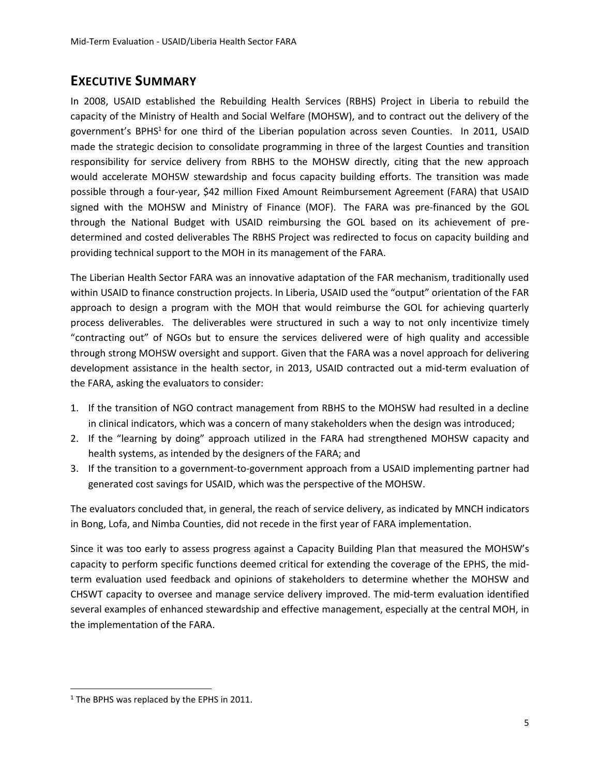# **EXECUTIVE SUMMARY**

In 2008, USAID established the Rebuilding Health Services (RBHS) Project in Liberia to rebuild the capacity of the Ministry of Health and Social Welfare (MOHSW), and to contract out the delivery of the government's BPHS<sup>1</sup> for one third of the Liberian population across seven Counties. In 2011, USAID made the strategic decision to consolidate programming in three of the largest Counties and transition responsibility for service delivery from RBHS to the MOHSW directly, citing that the new approach would accelerate MOHSW stewardship and focus capacity building efforts. The transition was made possible through a four-year, \$42 million Fixed Amount Reimbursement Agreement (FARA) that USAID signed with the MOHSW and Ministry of Finance (MOF). The FARA was pre-financed by the GOL through the National Budget with USAID reimbursing the GOL based on its achievement of predetermined and costed deliverables The RBHS Project was redirected to focus on capacity building and providing technical support to the MOH in its management of the FARA.

The Liberian Health Sector FARA was an innovative adaptation of the FAR mechanism, traditionally used within USAID to finance construction projects. In Liberia, USAID used the "output" orientation of the FAR approach to design a program with the MOH that would reimburse the GOL for achieving quarterly process deliverables. The deliverables were structured in such a way to not only incentivize timely "contracting out" of NGOs but to ensure the services delivered were of high quality and accessible through strong MOHSW oversight and support. Given that the FARA was a novel approach for delivering development assistance in the health sector, in 2013, USAID contracted out a mid-term evaluation of the FARA, asking the evaluators to consider:

- 1. If the transition of NGO contract management from RBHS to the MOHSW had resulted in a decline in clinical indicators, which was a concern of many stakeholders when the design was introduced;
- 2. If the "learning by doing" approach utilized in the FARA had strengthened MOHSW capacity and health systems, as intended by the designers of the FARA; and
- 3. If the transition to a government-to-government approach from a USAID implementing partner had generated cost savings for USAID, which was the perspective of the MOHSW.

The evaluators concluded that, in general, the reach of service delivery, as indicated by MNCH indicators in Bong, Lofa, and Nimba Counties, did not recede in the first year of FARA implementation.

Since it was too early to assess progress against a Capacity Building Plan that measured the MOHSW's capacity to perform specific functions deemed critical for extending the coverage of the EPHS, the midterm evaluation used feedback and opinions of stakeholders to determine whether the MOHSW and CHSWT capacity to oversee and manage service delivery improved. The mid-term evaluation identified several examples of enhanced stewardship and effective management, especially at the central MOH, in the implementation of the FARA.

 $\overline{a}$ 

<sup>&</sup>lt;sup>1</sup> The BPHS was replaced by the EPHS in 2011.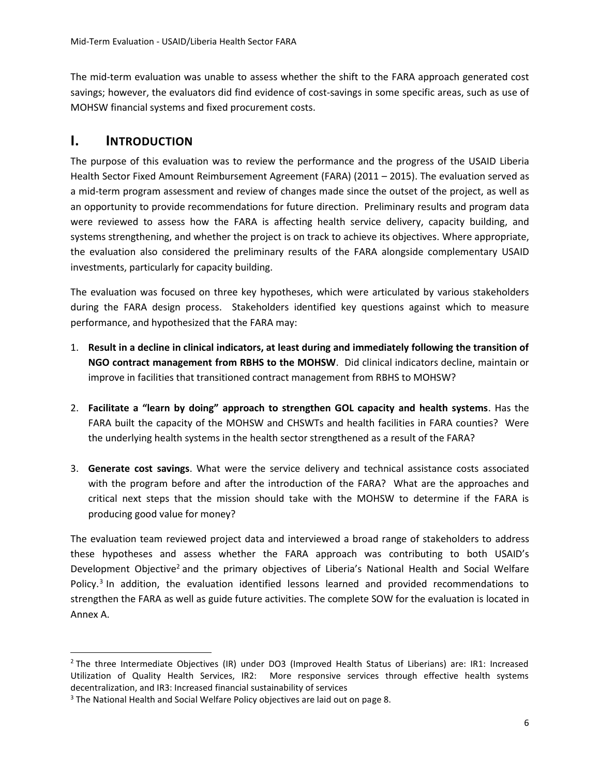The mid-term evaluation was unable to assess whether the shift to the FARA approach generated cost savings; however, the evaluators did find evidence of cost-savings in some specific areas, such as use of MOHSW financial systems and fixed procurement costs.

## **I. INTRODUCTION**

 $\overline{a}$ 

The purpose of this evaluation was to review the performance and the progress of the USAID Liberia Health Sector Fixed Amount Reimbursement Agreement (FARA) (2011 – 2015). The evaluation served as a mid-term program assessment and review of changes made since the outset of the project, as well as an opportunity to provide recommendations for future direction. Preliminary results and program data were reviewed to assess how the FARA is affecting health service delivery, capacity building, and systems strengthening, and whether the project is on track to achieve its objectives. Where appropriate, the evaluation also considered the preliminary results of the FARA alongside complementary USAID investments, particularly for capacity building.

The evaluation was focused on three key hypotheses, which were articulated by various stakeholders during the FARA design process. Stakeholders identified key questions against which to measure performance, and hypothesized that the FARA may:

- 1. **Result in a decline in clinical indicators, at least during and immediately following the transition of NGO contract management from RBHS to the MOHSW**. Did clinical indicators decline, maintain or improve in facilities that transitioned contract management from RBHS to MOHSW?
- 2. **Facilitate a "learn by doing" approach to strengthen GOL capacity and health systems**. Has the FARA built the capacity of the MOHSW and CHSWTs and health facilities in FARA counties? Were the underlying health systems in the health sector strengthened as a result of the FARA?
- 3. **Generate cost savings**. What were the service delivery and technical assistance costs associated with the program before and after the introduction of the FARA? What are the approaches and critical next steps that the mission should take with the MOHSW to determine if the FARA is producing good value for money?

The evaluation team reviewed project data and interviewed a broad range of stakeholders to address these hypotheses and assess whether the FARA approach was contributing to both USAID's Development Objective<sup>2</sup> and the primary objectives of Liberia's National Health and Social Welfare Policy.<sup>3</sup> In addition, the evaluation identified lessons learned and provided recommendations to strengthen the FARA as well as guide future activities. The complete SOW for the evaluation is located in Annex A.

<sup>&</sup>lt;sup>2</sup> The three Intermediate Objectives (IR) under DO3 (Improved Health Status of Liberians) are: IR1: Increased Utilization of Quality Health Services, IR2: More responsive services through effective health systems decentralization, and IR3: Increased financial sustainability of services

<sup>&</sup>lt;sup>3</sup> The National Health and Social Welfare Policy objectives are laid out on page 8.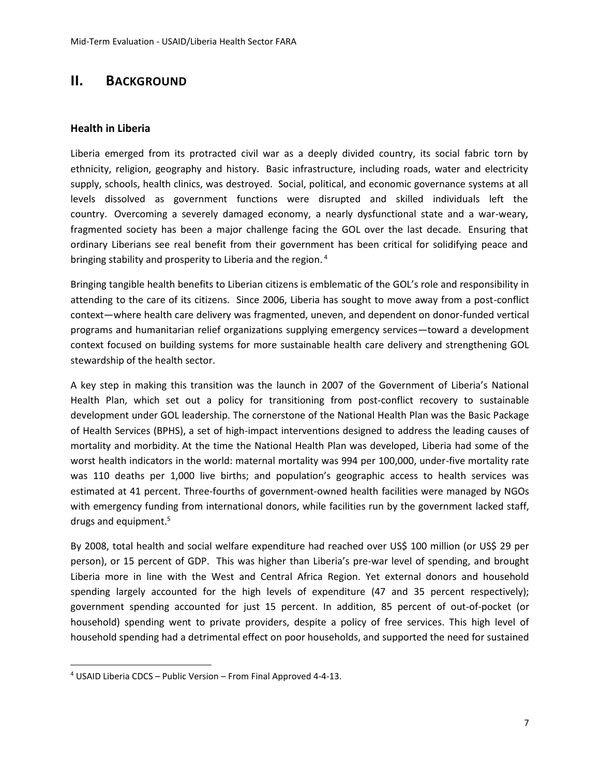# **II. BACKGROUND**

#### **Health in Liberia**

Liberia emerged from its protracted civil war as a deeply divided country, its social fabric torn by ethnicity, religion, geography and history. Basic infrastructure, including roads, water and electricity supply, schools, health clinics, was destroyed. Social, political, and economic governance systems at all levels dissolved as government functions were disrupted and skilled individuals left the country. Overcoming a severely damaged economy, a nearly dysfunctional state and a war-weary, fragmented society has been a major challenge facing the GOL over the last decade. Ensuring that ordinary Liberians see real benefit from their government has been critical for solidifying peace and bringing stability and prosperity to Liberia and the region. <sup>4</sup>

Bringing tangible health benefits to Liberian citizens is emblematic of the GOL's role and responsibility in attending to the care of its citizens. Since 2006, Liberia has sought to move away from a post‐conflict context—where health care delivery was fragmented, uneven, and dependent on donor‐funded vertical programs and humanitarian relief organizations supplying emergency services—toward a development context focused on building systems for more sustainable health care delivery and strengthening GOL stewardship of the health sector.

A key step in making this transition was the launch in 2007 of the Government of Liberia's National Health Plan, which set out a policy for transitioning from post-conflict recovery to sustainable development under GOL leadership. The cornerstone of the National Health Plan was the Basic Package of Health Services (BPHS), a set of high‐impact interventions designed to address the leading causes of mortality and morbidity. At the time the National Health Plan was developed, Liberia had some of the worst health indicators in the world: maternal mortality was 994 per 100,000, under‐five mortality rate was 110 deaths per 1,000 live births; and population's geographic access to health services was estimated at 41 percent. Three-fourths of government-owned health facilities were managed by NGOs with emergency funding from international donors, while facilities run by the government lacked staff, drugs and equipment.<sup>5</sup>

By 2008, total health and social welfare expenditure had reached over US\$ 100 million (or US\$ 29 per person), or 15 percent of GDP. This was higher than Liberia's pre-war level of spending, and brought Liberia more in line with the West and Central Africa Region. Yet external donors and household spending largely accounted for the high levels of expenditure (47 and 35 percent respectively); government spending accounted for just 15 percent. In addition, 85 percent of out-of-pocket (or household) spending went to private providers, despite a policy of free services. This high level of household spending had a detrimental effect on poor households, and supported the need for sustained

 $\overline{a}$ 

<sup>4</sup> USAID Liberia CDCS – Public Version – From Final Approved 4-4-13.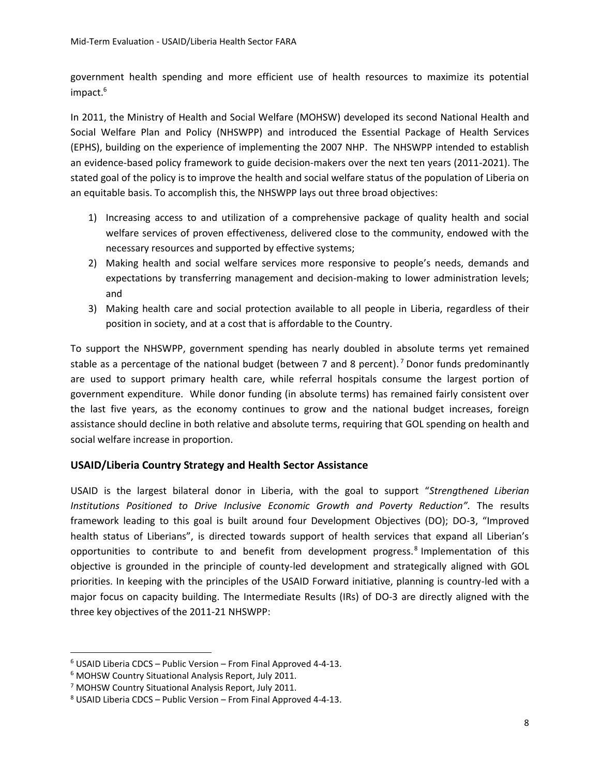government health spending and more efficient use of health resources to maximize its potential impact.<sup>6</sup>

In 2011, the Ministry of Health and Social Welfare (MOHSW) developed its second National Health and Social Welfare Plan and Policy (NHSWPP) and introduced the Essential Package of Health Services (EPHS), building on the experience of implementing the 2007 NHP. The NHSWPP intended to establish an evidence-based policy framework to guide decision-makers over the next ten years (2011-2021). The stated goal of the policy is to improve the health and social welfare status of the population of Liberia on an equitable basis. To accomplish this, the NHSWPP lays out three broad objectives:

- 1) Increasing access to and utilization of a comprehensive package of quality health and social welfare services of proven effectiveness, delivered close to the community, endowed with the necessary resources and supported by effective systems;
- 2) Making health and social welfare services more responsive to people's needs, demands and expectations by transferring management and decision-making to lower administration levels; and
- 3) Making health care and social protection available to all people in Liberia, regardless of their position in society, and at a cost that is affordable to the Country.

To support the NHSWPP, government spending has nearly doubled in absolute terms yet remained stable as a percentage of the national budget (between 7 and 8 percent).<sup>7</sup> Donor funds predominantly are used to support primary health care, while referral hospitals consume the largest portion of government expenditure. While donor funding (in absolute terms) has remained fairly consistent over the last five years, as the economy continues to grow and the national budget increases, foreign assistance should decline in both relative and absolute terms, requiring that GOL spending on health and social welfare increase in proportion.

## **USAID/Liberia Country Strategy and Health Sector Assistance**

USAID is the largest bilateral donor in Liberia, with the goal to support "*Strengthened Liberian Institutions Positioned to Drive Inclusive Economic Growth and Poverty Reduction".* The results framework leading to this goal is built around four Development Objectives (DO); DO-3, "Improved health status of Liberians", is directed towards support of health services that expand all Liberian's opportunities to contribute to and benefit from development progress.<sup>8</sup> Implementation of this objective is grounded in the principle of county-led development and strategically aligned with GOL priorities. In keeping with the principles of the USAID Forward initiative, planning is country-led with a major focus on capacity building. The Intermediate Results (IRs) of DO-3 are directly aligned with the three key objectives of the 2011-21 NHSWPP:

 $\overline{a}$ 

 $6$  USAID Liberia CDCS – Public Version – From Final Approved 4-4-13.

<sup>6</sup> MOHSW Country Situational Analysis Report, July 2011.

<sup>7</sup> MOHSW Country Situational Analysis Report, July 2011.

 $8$  USAID Liberia CDCS – Public Version – From Final Approved 4-4-13.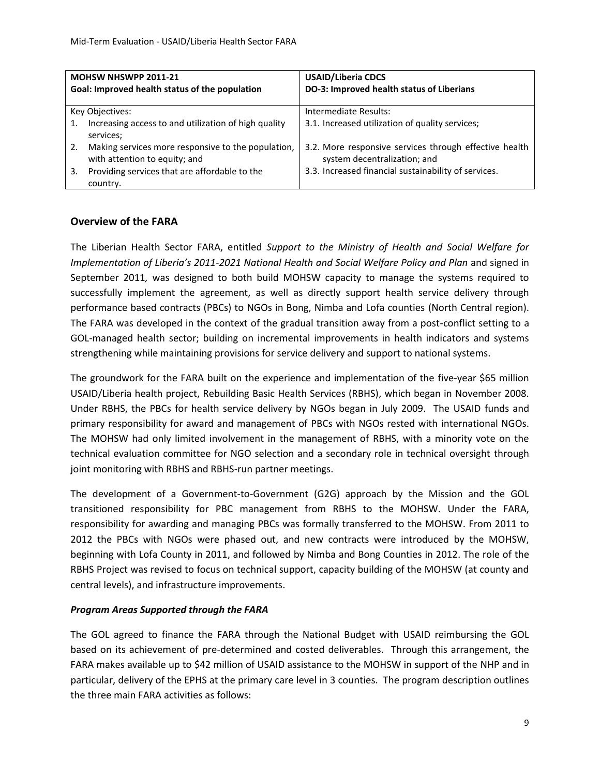| <b>MOHSW NHSWPP 2011-21</b>                                                               | <b>USAID/Liberia CDCS</b>                                                              |  |
|-------------------------------------------------------------------------------------------|----------------------------------------------------------------------------------------|--|
| Goal: Improved health status of the population                                            | DO-3: Improved health status of Liberians                                              |  |
|                                                                                           |                                                                                        |  |
| Key Objectives:                                                                           | Intermediate Results:                                                                  |  |
| Increasing access to and utilization of high quality<br>1.<br>services;                   | 3.1. Increased utilization of quality services;                                        |  |
| Making services more responsive to the population,<br>2.<br>with attention to equity; and | 3.2. More responsive services through effective health<br>system decentralization; and |  |
| Providing services that are affordable to the<br>3.<br>country.                           | 3.3. Increased financial sustainability of services.                                   |  |

#### **Overview of the FARA**

The Liberian Health Sector FARA, entitled *Support to the Ministry of Health and Social Welfare for Implementation of Liberia's 2011-2021 National Health and Social Welfare Policy and Plan* and signed in September 2011*,* was designed to both build MOHSW capacity to manage the systems required to successfully implement the agreement, as well as directly support health service delivery through performance based contracts (PBCs) to NGOs in Bong, Nimba and Lofa counties (North Central region). The FARA was developed in the context of the gradual transition away from a post-conflict setting to a GOL-managed health sector; building on incremental improvements in health indicators and systems strengthening while maintaining provisions for service delivery and support to national systems.

The groundwork for the FARA built on the experience and implementation of the five-year \$65 million USAID/Liberia health project, Rebuilding Basic Health Services (RBHS), which began in November 2008. Under RBHS, the PBCs for health service delivery by NGOs began in July 2009. The USAID funds and primary responsibility for award and management of PBCs with NGOs rested with international NGOs. The MOHSW had only limited involvement in the management of RBHS, with a minority vote on the technical evaluation committee for NGO selection and a secondary role in technical oversight through joint monitoring with RBHS and RBHS-run partner meetings.

The development of a Government-to-Government (G2G) approach by the Mission and the GOL transitioned responsibility for PBC management from RBHS to the MOHSW. Under the FARA, responsibility for awarding and managing PBCs was formally transferred to the MOHSW. From 2011 to 2012 the PBCs with NGOs were phased out, and new contracts were introduced by the MOHSW, beginning with Lofa County in 2011, and followed by Nimba and Bong Counties in 2012. The role of the RBHS Project was revised to focus on technical support, capacity building of the MOHSW (at county and central levels), and infrastructure improvements.

#### *Program Areas Supported through the FARA*

The GOL agreed to finance the FARA through the National Budget with USAID reimbursing the GOL based on its achievement of pre-determined and costed deliverables. Through this arrangement, the FARA makes available up to \$42 million of USAID assistance to the MOHSW in support of the NHP and in particular, delivery of the EPHS at the primary care level in 3 counties. The program description outlines the three main FARA activities as follows: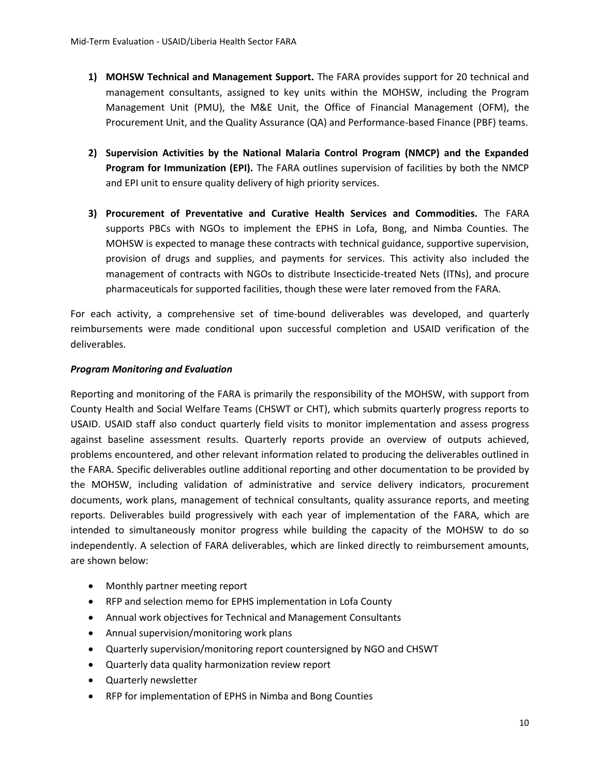- **1) MOHSW Technical and Management Support.** The FARA provides support for 20 technical and management consultants, assigned to key units within the MOHSW, including the Program Management Unit (PMU), the M&E Unit, the Office of Financial Management (OFM), the Procurement Unit, and the Quality Assurance (QA) and Performance-based Finance (PBF) teams.
- **2) Supervision Activities by the National Malaria Control Program (NMCP) and the Expanded Program for Immunization (EPI).** The FARA outlines supervision of facilities by both the NMCP and EPI unit to ensure quality delivery of high priority services.
- **3) Procurement of Preventative and Curative Health Services and Commodities.** The FARA supports PBCs with NGOs to implement the EPHS in Lofa, Bong, and Nimba Counties. The MOHSW is expected to manage these contracts with technical guidance, supportive supervision, provision of drugs and supplies, and payments for services. This activity also included the management of contracts with NGOs to distribute Insecticide-treated Nets (ITNs), and procure pharmaceuticals for supported facilities, though these were later removed from the FARA.

For each activity, a comprehensive set of time-bound deliverables was developed, and quarterly reimbursements were made conditional upon successful completion and USAID verification of the deliverables.

#### *Program Monitoring and Evaluation*

Reporting and monitoring of the FARA is primarily the responsibility of the MOHSW, with support from County Health and Social Welfare Teams (CHSWT or CHT), which submits quarterly progress reports to USAID. USAID staff also conduct quarterly field visits to monitor implementation and assess progress against baseline assessment results. Quarterly reports provide an overview of outputs achieved, problems encountered, and other relevant information related to producing the deliverables outlined in the FARA. Specific deliverables outline additional reporting and other documentation to be provided by the MOHSW, including validation of administrative and service delivery indicators, procurement documents, work plans, management of technical consultants, quality assurance reports, and meeting reports. Deliverables build progressively with each year of implementation of the FARA, which are intended to simultaneously monitor progress while building the capacity of the MOHSW to do so independently. A selection of FARA deliverables, which are linked directly to reimbursement amounts, are shown below:

- Monthly partner meeting report
- RFP and selection memo for EPHS implementation in Lofa County
- Annual work objectives for Technical and Management Consultants
- Annual supervision/monitoring work plans
- Quarterly supervision/monitoring report countersigned by NGO and CHSWT
- Quarterly data quality harmonization review report
- Quarterly newsletter
- RFP for implementation of EPHS in Nimba and Bong Counties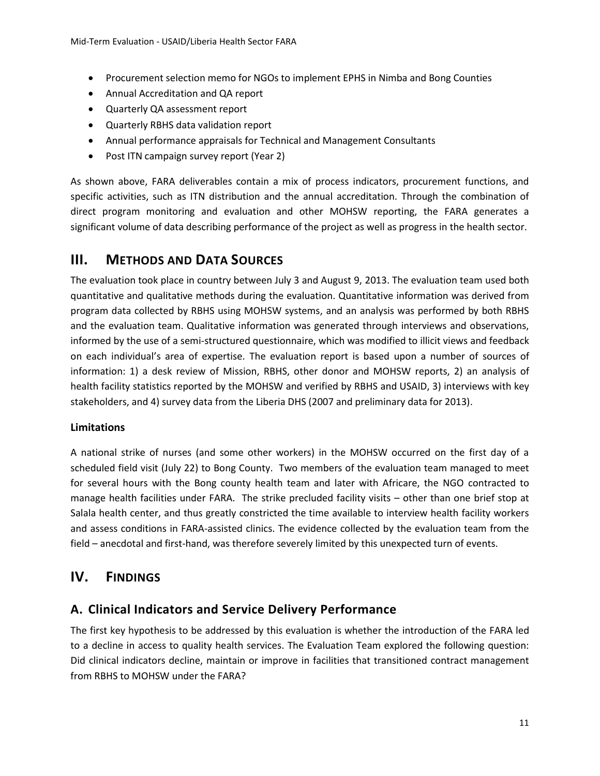- Procurement selection memo for NGOs to implement EPHS in Nimba and Bong Counties
- Annual Accreditation and QA report
- Quarterly QA assessment report
- Quarterly RBHS data validation report
- Annual performance appraisals for Technical and Management Consultants
- Post ITN campaign survey report (Year 2)

As shown above, FARA deliverables contain a mix of process indicators, procurement functions, and specific activities, such as ITN distribution and the annual accreditation. Through the combination of direct program monitoring and evaluation and other MOHSW reporting, the FARA generates a significant volume of data describing performance of the project as well as progress in the health sector.

# **III. METHODS AND DATA SOURCES**

The evaluation took place in country between July 3 and August 9, 2013. The evaluation team used both quantitative and qualitative methods during the evaluation. Quantitative information was derived from program data collected by RBHS using MOHSW systems, and an analysis was performed by both RBHS and the evaluation team. Qualitative information was generated through interviews and observations, informed by the use of a semi-structured questionnaire, which was modified to illicit views and feedback on each individual's area of expertise. The evaluation report is based upon a number of sources of information: 1) a desk review of Mission, RBHS, other donor and MOHSW reports, 2) an analysis of health facility statistics reported by the MOHSW and verified by RBHS and USAID, 3) interviews with key stakeholders, and 4) survey data from the Liberia DHS (2007 and preliminary data for 2013).

## **Limitations**

A national strike of nurses (and some other workers) in the MOHSW occurred on the first day of a scheduled field visit (July 22) to Bong County. Two members of the evaluation team managed to meet for several hours with the Bong county health team and later with Africare, the NGO contracted to manage health facilities under FARA. The strike precluded facility visits – other than one brief stop at Salala health center, and thus greatly constricted the time available to interview health facility workers and assess conditions in FARA-assisted clinics. The evidence collected by the evaluation team from the field – anecdotal and first-hand, was therefore severely limited by this unexpected turn of events.

# **IV. FINDINGS**

## **A. Clinical Indicators and Service Delivery Performance**

The first key hypothesis to be addressed by this evaluation is whether the introduction of the FARA led to a decline in access to quality health services. The Evaluation Team explored the following question: Did clinical indicators decline, maintain or improve in facilities that transitioned contract management from RBHS to MOHSW under the FARA?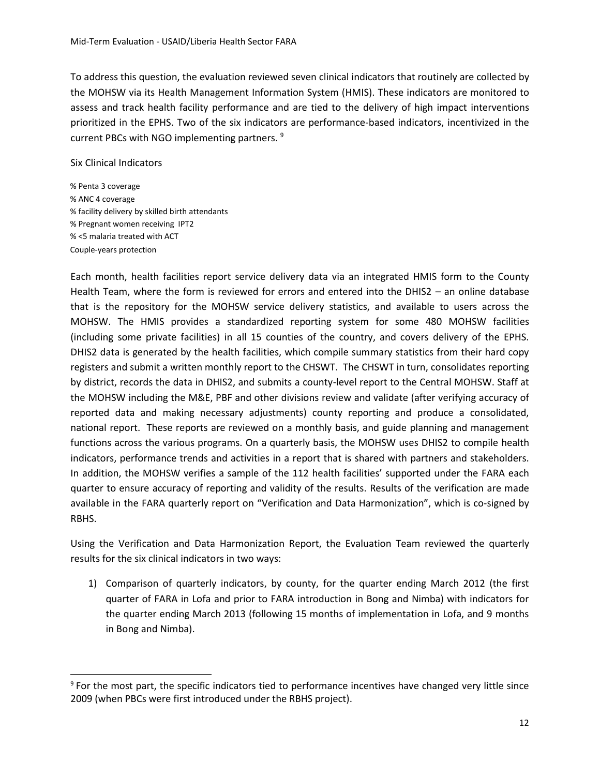To address this question, the evaluation reviewed seven clinical indicators that routinely are collected by the MOHSW via its Health Management Information System (HMIS). These indicators are monitored to assess and track health facility performance and are tied to the delivery of high impact interventions prioritized in the EPHS. Two of the six indicators are performance-based indicators, incentivized in the current PBCs with NGO implementing partners. <sup>9</sup>

#### Six Clinical Indicators

 $\overline{a}$ 

% Penta 3 coverage % ANC 4 coverage % facility delivery by skilled birth attendants % Pregnant women receiving IPT2 % <5 malaria treated with ACT Couple-years protection

Each month, health facilities report service delivery data via an integrated HMIS form to the County Health Team, where the form is reviewed for errors and entered into the DHIS2 – an online database that is the repository for the MOHSW service delivery statistics, and available to users across the MOHSW. The HMIS provides a standardized reporting system for some 480 MOHSW facilities (including some private facilities) in all 15 counties of the country, and covers delivery of the EPHS. DHIS2 data is generated by the health facilities, which compile summary statistics from their hard copy registers and submit a written monthly report to the CHSWT. The CHSWT in turn, consolidates reporting by district, records the data in DHIS2, and submits a county-level report to the Central MOHSW. Staff at the MOHSW including the M&E, PBF and other divisions review and validate (after verifying accuracy of reported data and making necessary adjustments) county reporting and produce a consolidated, national report. These reports are reviewed on a monthly basis, and guide planning and management functions across the various programs. On a quarterly basis, the MOHSW uses DHIS2 to compile health indicators, performance trends and activities in a report that is shared with partners and stakeholders. In addition, the MOHSW verifies a sample of the 112 health facilities' supported under the FARA each quarter to ensure accuracy of reporting and validity of the results. Results of the verification are made available in the FARA quarterly report on "Verification and Data Harmonization", which is co-signed by RBHS.

Using the Verification and Data Harmonization Report, the Evaluation Team reviewed the quarterly results for the six clinical indicators in two ways:

1) Comparison of quarterly indicators, by county, for the quarter ending March 2012 (the first quarter of FARA in Lofa and prior to FARA introduction in Bong and Nimba) with indicators for the quarter ending March 2013 (following 15 months of implementation in Lofa, and 9 months in Bong and Nimba).

<sup>9</sup> For the most part, the specific indicators tied to performance incentives have changed very little since 2009 (when PBCs were first introduced under the RBHS project).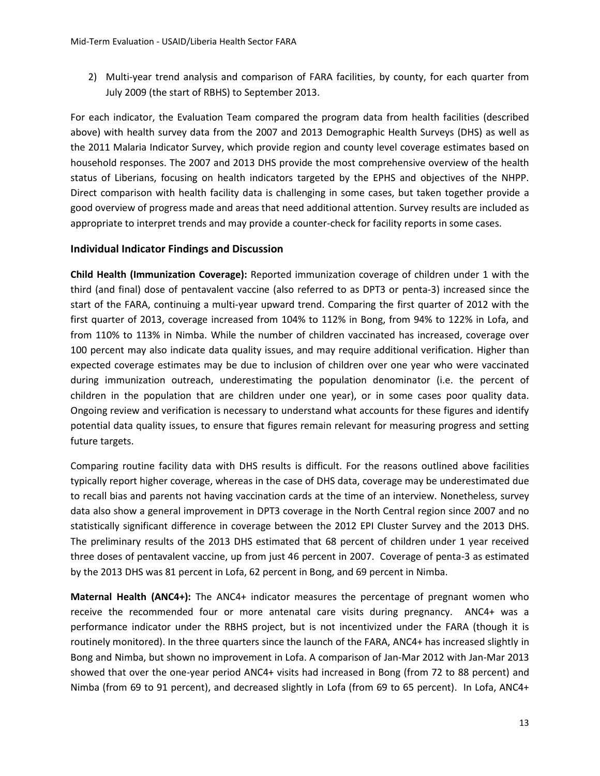2) Multi-year trend analysis and comparison of FARA facilities, by county, for each quarter from July 2009 (the start of RBHS) to September 2013.

For each indicator, the Evaluation Team compared the program data from health facilities (described above) with health survey data from the 2007 and 2013 Demographic Health Surveys (DHS) as well as the 2011 Malaria Indicator Survey, which provide region and county level coverage estimates based on household responses. The 2007 and 2013 DHS provide the most comprehensive overview of the health status of Liberians, focusing on health indicators targeted by the EPHS and objectives of the NHPP. Direct comparison with health facility data is challenging in some cases, but taken together provide a good overview of progress made and areas that need additional attention. Survey results are included as appropriate to interpret trends and may provide a counter-check for facility reports in some cases.

#### **Individual Indicator Findings and Discussion**

**Child Health (Immunization Coverage):** Reported immunization coverage of children under 1 with the third (and final) dose of pentavalent vaccine (also referred to as DPT3 or penta-3) increased since the start of the FARA, continuing a multi-year upward trend. Comparing the first quarter of 2012 with the first quarter of 2013, coverage increased from 104% to 112% in Bong, from 94% to 122% in Lofa, and from 110% to 113% in Nimba. While the number of children vaccinated has increased, coverage over 100 percent may also indicate data quality issues, and may require additional verification. Higher than expected coverage estimates may be due to inclusion of children over one year who were vaccinated during immunization outreach, underestimating the population denominator (i.e. the percent of children in the population that are children under one year), or in some cases poor quality data. Ongoing review and verification is necessary to understand what accounts for these figures and identify potential data quality issues, to ensure that figures remain relevant for measuring progress and setting future targets.

Comparing routine facility data with DHS results is difficult. For the reasons outlined above facilities typically report higher coverage, whereas in the case of DHS data, coverage may be underestimated due to recall bias and parents not having vaccination cards at the time of an interview. Nonetheless, survey data also show a general improvement in DPT3 coverage in the North Central region since 2007 and no statistically significant difference in coverage between the 2012 EPI Cluster Survey and the 2013 DHS. The preliminary results of the 2013 DHS estimated that 68 percent of children under 1 year received three doses of pentavalent vaccine, up from just 46 percent in 2007. Coverage of penta-3 as estimated by the 2013 DHS was 81 percent in Lofa, 62 percent in Bong, and 69 percent in Nimba.

**Maternal Health (ANC4+):** The ANC4+ indicator measures the percentage of pregnant women who receive the recommended four or more antenatal care visits during pregnancy. ANC4+ was a performance indicator under the RBHS project, but is not incentivized under the FARA (though it is routinely monitored). In the three quarters since the launch of the FARA, ANC4+ has increased slightly in Bong and Nimba, but shown no improvement in Lofa. A comparison of Jan-Mar 2012 with Jan-Mar 2013 showed that over the one-year period ANC4+ visits had increased in Bong (from 72 to 88 percent) and Nimba (from 69 to 91 percent), and decreased slightly in Lofa (from 69 to 65 percent). In Lofa, ANC4+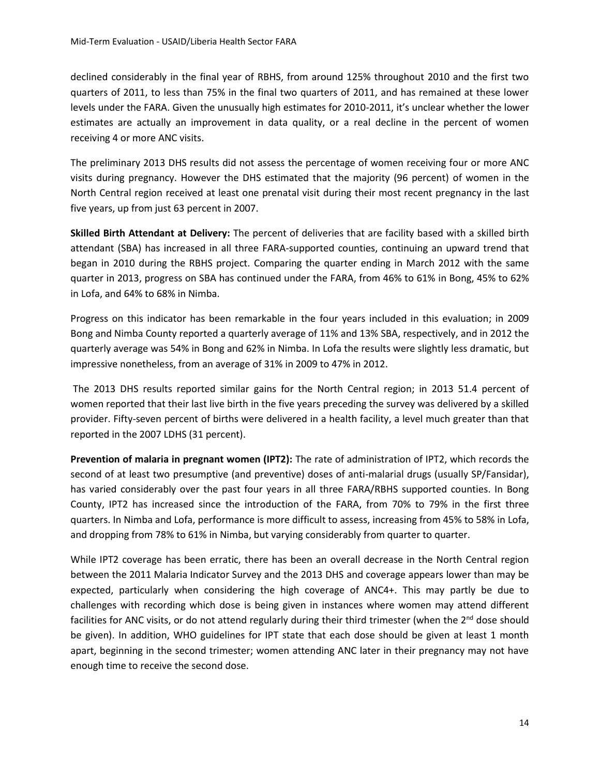declined considerably in the final year of RBHS, from around 125% throughout 2010 and the first two quarters of 2011, to less than 75% in the final two quarters of 2011, and has remained at these lower levels under the FARA. Given the unusually high estimates for 2010-2011, it's unclear whether the lower estimates are actually an improvement in data quality, or a real decline in the percent of women receiving 4 or more ANC visits.

The preliminary 2013 DHS results did not assess the percentage of women receiving four or more ANC visits during pregnancy. However the DHS estimated that the majority (96 percent) of women in the North Central region received at least one prenatal visit during their most recent pregnancy in the last five years, up from just 63 percent in 2007.

**Skilled Birth Attendant at Delivery:** The percent of deliveries that are facility based with a skilled birth attendant (SBA) has increased in all three FARA-supported counties, continuing an upward trend that began in 2010 during the RBHS project. Comparing the quarter ending in March 2012 with the same quarter in 2013, progress on SBA has continued under the FARA, from 46% to 61% in Bong, 45% to 62% in Lofa, and 64% to 68% in Nimba.

Progress on this indicator has been remarkable in the four years included in this evaluation; in 2009 Bong and Nimba County reported a quarterly average of 11% and 13% SBA, respectively, and in 2012 the quarterly average was 54% in Bong and 62% in Nimba. In Lofa the results were slightly less dramatic, but impressive nonetheless, from an average of 31% in 2009 to 47% in 2012.

The 2013 DHS results reported similar gains for the North Central region; in 2013 51.4 percent of women reported that their last live birth in the five years preceding the survey was delivered by a skilled provider. Fifty-seven percent of births were delivered in a health facility, a level much greater than that reported in the 2007 LDHS (31 percent).

**Prevention of malaria in pregnant women (IPT2):** The rate of administration of IPT2, which records the second of at least two presumptive (and preventive) doses of anti-malarial drugs (usually SP/Fansidar), has varied considerably over the past four years in all three FARA/RBHS supported counties. In Bong County, IPT2 has increased since the introduction of the FARA, from 70% to 79% in the first three quarters. In Nimba and Lofa, performance is more difficult to assess, increasing from 45% to 58% in Lofa, and dropping from 78% to 61% in Nimba, but varying considerably from quarter to quarter.

While IPT2 coverage has been erratic, there has been an overall decrease in the North Central region between the 2011 Malaria Indicator Survey and the 2013 DHS and coverage appears lower than may be expected, particularly when considering the high coverage of ANC4+. This may partly be due to challenges with recording which dose is being given in instances where women may attend different facilities for ANC visits, or do not attend regularly during their third trimester (when the  $2^{nd}$  dose should be given). In addition, WHO guidelines for IPT state that each dose should be given at least 1 month apart, beginning in the second trimester; women attending ANC later in their pregnancy may not have enough time to receive the second dose.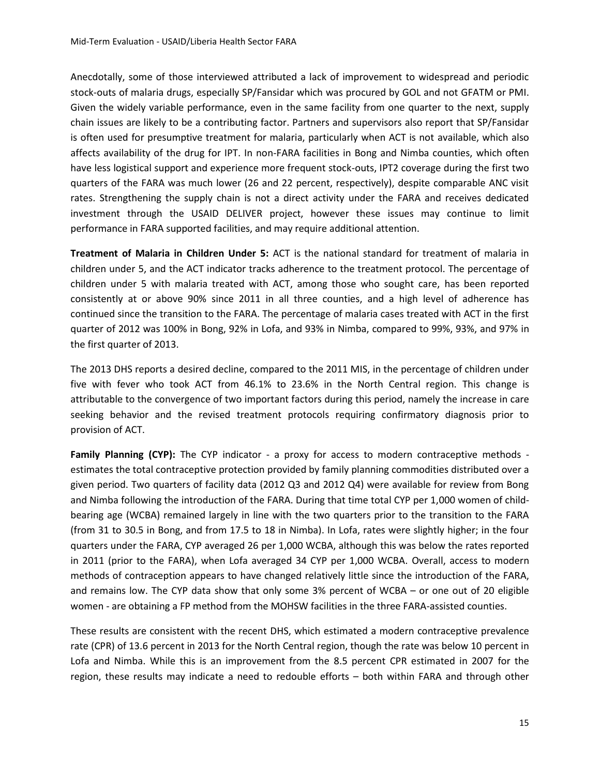Anecdotally, some of those interviewed attributed a lack of improvement to widespread and periodic stock-outs of malaria drugs, especially SP/Fansidar which was procured by GOL and not GFATM or PMI. Given the widely variable performance, even in the same facility from one quarter to the next, supply chain issues are likely to be a contributing factor. Partners and supervisors also report that SP/Fansidar is often used for presumptive treatment for malaria, particularly when ACT is not available, which also affects availability of the drug for IPT. In non-FARA facilities in Bong and Nimba counties, which often have less logistical support and experience more frequent stock-outs, IPT2 coverage during the first two quarters of the FARA was much lower (26 and 22 percent, respectively), despite comparable ANC visit rates. Strengthening the supply chain is not a direct activity under the FARA and receives dedicated investment through the USAID DELIVER project, however these issues may continue to limit performance in FARA supported facilities, and may require additional attention.

**Treatment of Malaria in Children Under 5:** ACT is the national standard for treatment of malaria in children under 5, and the ACT indicator tracks adherence to the treatment protocol. The percentage of children under 5 with malaria treated with ACT, among those who sought care, has been reported consistently at or above 90% since 2011 in all three counties, and a high level of adherence has continued since the transition to the FARA. The percentage of malaria cases treated with ACT in the first quarter of 2012 was 100% in Bong, 92% in Lofa, and 93% in Nimba, compared to 99%, 93%, and 97% in the first quarter of 2013.

The 2013 DHS reports a desired decline, compared to the 2011 MIS, in the percentage of children under five with fever who took ACT from 46.1% to 23.6% in the North Central region. This change is attributable to the convergence of two important factors during this period, namely the increase in care seeking behavior and the revised treatment protocols requiring confirmatory diagnosis prior to provision of ACT.

**Family Planning (CYP):** The CYP indicator - a proxy for access to modern contraceptive methods estimates the total contraceptive protection provided by family planning commodities distributed over a given period. Two quarters of facility data (2012 Q3 and 2012 Q4) were available for review from Bong and Nimba following the introduction of the FARA. During that time total CYP per 1,000 women of childbearing age (WCBA) remained largely in line with the two quarters prior to the transition to the FARA (from 31 to 30.5 in Bong, and from 17.5 to 18 in Nimba). In Lofa, rates were slightly higher; in the four quarters under the FARA, CYP averaged 26 per 1,000 WCBA, although this was below the rates reported in 2011 (prior to the FARA), when Lofa averaged 34 CYP per 1,000 WCBA. Overall, access to modern methods of contraception appears to have changed relatively little since the introduction of the FARA, and remains low. The CYP data show that only some 3% percent of WCBA – or one out of 20 eligible women - are obtaining a FP method from the MOHSW facilities in the three FARA-assisted counties.

These results are consistent with the recent DHS, which estimated a modern contraceptive prevalence rate (CPR) of 13.6 percent in 2013 for the North Central region, though the rate was below 10 percent in Lofa and Nimba. While this is an improvement from the 8.5 percent CPR estimated in 2007 for the region, these results may indicate a need to redouble efforts – both within FARA and through other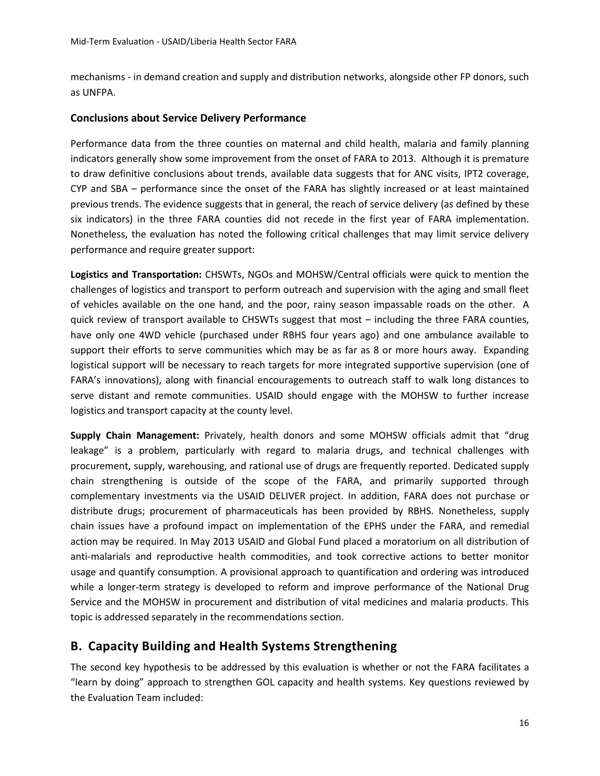mechanisms - in demand creation and supply and distribution networks, alongside other FP donors, such as UNFPA.

## **Conclusions about Service Delivery Performance**

Performance data from the three counties on maternal and child health, malaria and family planning indicators generally show some improvement from the onset of FARA to 2013. Although it is premature to draw definitive conclusions about trends, available data suggests that for ANC visits, IPT2 coverage, CYP and SBA – performance since the onset of the FARA has slightly increased or at least maintained previous trends. The evidence suggests that in general, the reach of service delivery (as defined by these six indicators) in the three FARA counties did not recede in the first year of FARA implementation. Nonetheless, the evaluation has noted the following critical challenges that may limit service delivery performance and require greater support:

**Logistics and Transportation:** CHSWTs, NGOs and MOHSW/Central officials were quick to mention the challenges of logistics and transport to perform outreach and supervision with the aging and small fleet of vehicles available on the one hand, and the poor, rainy season impassable roads on the other. A quick review of transport available to CHSWTs suggest that most – including the three FARA counties, have only one 4WD vehicle (purchased under RBHS four years ago) and one ambulance available to support their efforts to serve communities which may be as far as 8 or more hours away. Expanding logistical support will be necessary to reach targets for more integrated supportive supervision (one of FARA's innovations), along with financial encouragements to outreach staff to walk long distances to serve distant and remote communities. USAID should engage with the MOHSW to further increase logistics and transport capacity at the county level.

**Supply Chain Management:** Privately, health donors and some MOHSW officials admit that "drug leakage" is a problem, particularly with regard to malaria drugs, and technical challenges with procurement, supply, warehousing, and rational use of drugs are frequently reported. Dedicated supply chain strengthening is outside of the scope of the FARA, and primarily supported through complementary investments via the USAID DELIVER project. In addition, FARA does not purchase or distribute drugs; procurement of pharmaceuticals has been provided by RBHS. Nonetheless, supply chain issues have a profound impact on implementation of the EPHS under the FARA, and remedial action may be required. In May 2013 USAID and Global Fund placed a moratorium on all distribution of anti-malarials and reproductive health commodities, and took corrective actions to better monitor usage and quantify consumption. A provisional approach to quantification and ordering was introduced while a longer-term strategy is developed to reform and improve performance of the National Drug Service and the MOHSW in procurement and distribution of vital medicines and malaria products. This topic is addressed separately in the recommendations section.

# **B. Capacity Building and Health Systems Strengthening**

The second key hypothesis to be addressed by this evaluation is whether or not the FARA facilitates a "learn by doing" approach to strengthen GOL capacity and health systems. Key questions reviewed by the Evaluation Team included: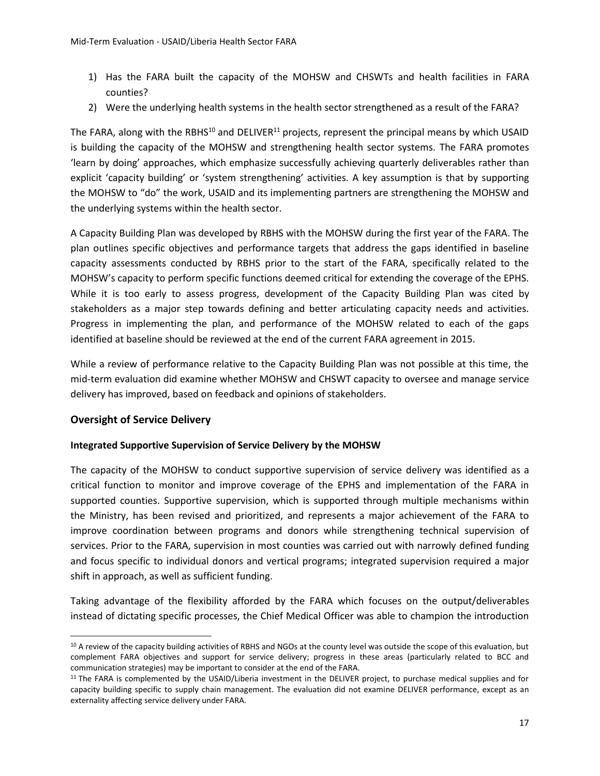- 1) Has the FARA built the capacity of the MOHSW and CHSWTs and health facilities in FARA counties?
- 2) Were the underlying health systems in the health sector strengthened as a result of the FARA?

The FARA, along with the RBHS<sup>10</sup> and DELIVER<sup>11</sup> projects, represent the principal means by which USAID is building the capacity of the MOHSW and strengthening health sector systems. The FARA promotes 'learn by doing' approaches, which emphasize successfully achieving quarterly deliverables rather than explicit 'capacity building' or 'system strengthening' activities. A key assumption is that by supporting the MOHSW to "do" the work, USAID and its implementing partners are strengthening the MOHSW and the underlying systems within the health sector.

A Capacity Building Plan was developed by RBHS with the MOHSW during the first year of the FARA. The plan outlines specific objectives and performance targets that address the gaps identified in baseline capacity assessments conducted by RBHS prior to the start of the FARA, specifically related to the MOHSW's capacity to perform specific functions deemed critical for extending the coverage of the EPHS. While it is too early to assess progress, development of the Capacity Building Plan was cited by stakeholders as a major step towards defining and better articulating capacity needs and activities. Progress in implementing the plan, and performance of the MOHSW related to each of the gaps identified at baseline should be reviewed at the end of the current FARA agreement in 2015.

While a review of performance relative to the Capacity Building Plan was not possible at this time, the mid-term evaluation did examine whether MOHSW and CHSWT capacity to oversee and manage service delivery has improved, based on feedback and opinions of stakeholders.

## **Oversight of Service Delivery**

 $\overline{a}$ 

#### **Integrated Supportive Supervision of Service Delivery by the MOHSW**

The capacity of the MOHSW to conduct supportive supervision of service delivery was identified as a critical function to monitor and improve coverage of the EPHS and implementation of the FARA in supported counties. Supportive supervision, which is supported through multiple mechanisms within the Ministry, has been revised and prioritized, and represents a major achievement of the FARA to improve coordination between programs and donors while strengthening technical supervision of services. Prior to the FARA, supervision in most counties was carried out with narrowly defined funding and focus specific to individual donors and vertical programs; integrated supervision required a major shift in approach, as well as sufficient funding.

Taking advantage of the flexibility afforded by the FARA which focuses on the output/deliverables instead of dictating specific processes, the Chief Medical Officer was able to champion the introduction

<sup>&</sup>lt;sup>10</sup> A review of the capacity building activities of RBHS and NGOs at the county level was outside the scope of this evaluation, but complement FARA objectives and support for service delivery; progress in these areas (particularly related to BCC and communication strategies) may be important to consider at the end of the FARA.

<sup>&</sup>lt;sup>11</sup> The FARA is complemented by the USAID/Liberia investment in the DELIVER project, to purchase medical supplies and for capacity building specific to supply chain management. The evaluation did not examine DELIVER performance, except as an externality affecting service delivery under FARA.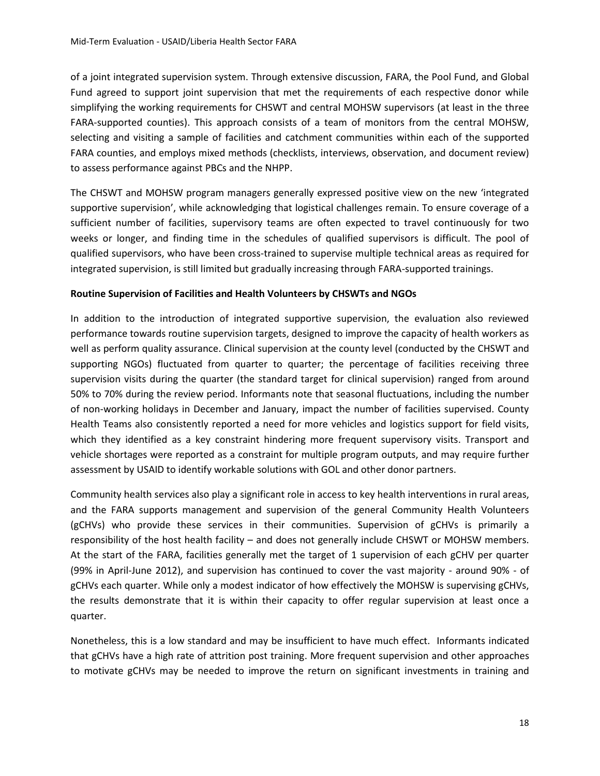of a joint integrated supervision system. Through extensive discussion, FARA, the Pool Fund, and Global Fund agreed to support joint supervision that met the requirements of each respective donor while simplifying the working requirements for CHSWT and central MOHSW supervisors (at least in the three FARA-supported counties). This approach consists of a team of monitors from the central MOHSW, selecting and visiting a sample of facilities and catchment communities within each of the supported FARA counties, and employs mixed methods (checklists, interviews, observation, and document review) to assess performance against PBCs and the NHPP.

The CHSWT and MOHSW program managers generally expressed positive view on the new 'integrated supportive supervision', while acknowledging that logistical challenges remain. To ensure coverage of a sufficient number of facilities, supervisory teams are often expected to travel continuously for two weeks or longer, and finding time in the schedules of qualified supervisors is difficult. The pool of qualified supervisors, who have been cross-trained to supervise multiple technical areas as required for integrated supervision, is still limited but gradually increasing through FARA-supported trainings.

#### **Routine Supervision of Facilities and Health Volunteers by CHSWTs and NGOs**

In addition to the introduction of integrated supportive supervision, the evaluation also reviewed performance towards routine supervision targets, designed to improve the capacity of health workers as well as perform quality assurance. Clinical supervision at the county level (conducted by the CHSWT and supporting NGOs) fluctuated from quarter to quarter; the percentage of facilities receiving three supervision visits during the quarter (the standard target for clinical supervision) ranged from around 50% to 70% during the review period. Informants note that seasonal fluctuations, including the number of non-working holidays in December and January, impact the number of facilities supervised. County Health Teams also consistently reported a need for more vehicles and logistics support for field visits, which they identified as a key constraint hindering more frequent supervisory visits. Transport and vehicle shortages were reported as a constraint for multiple program outputs, and may require further assessment by USAID to identify workable solutions with GOL and other donor partners.

Community health services also play a significant role in access to key health interventions in rural areas, and the FARA supports management and supervision of the general Community Health Volunteers (gCHVs) who provide these services in their communities. Supervision of gCHVs is primarily a responsibility of the host health facility – and does not generally include CHSWT or MOHSW members. At the start of the FARA, facilities generally met the target of 1 supervision of each gCHV per quarter (99% in April-June 2012), and supervision has continued to cover the vast majority - around 90% - of gCHVs each quarter. While only a modest indicator of how effectively the MOHSW is supervising gCHVs, the results demonstrate that it is within their capacity to offer regular supervision at least once a quarter.

Nonetheless, this is a low standard and may be insufficient to have much effect. Informants indicated that gCHVs have a high rate of attrition post training. More frequent supervision and other approaches to motivate gCHVs may be needed to improve the return on significant investments in training and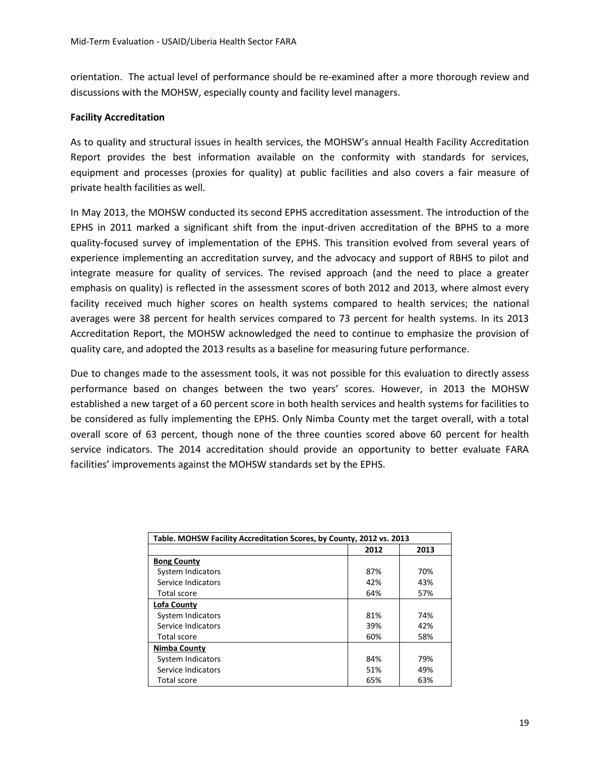orientation. The actual level of performance should be re-examined after a more thorough review and discussions with the MOHSW, especially county and facility level managers.

#### **Facility Accreditation**

As to quality and structural issues in health services, the MOHSW's annual Health Facility Accreditation Report provides the best information available on the conformity with standards for services, equipment and processes (proxies for quality) at public facilities and also covers a fair measure of private health facilities as well.

In May 2013, the MOHSW conducted its second EPHS accreditation assessment. The introduction of the EPHS in 2011 marked a significant shift from the input-driven accreditation of the BPHS to a more quality-focused survey of implementation of the EPHS. This transition evolved from several years of experience implementing an accreditation survey, and the advocacy and support of RBHS to pilot and integrate measure for quality of services. The revised approach (and the need to place a greater emphasis on quality) is reflected in the assessment scores of both 2012 and 2013, where almost every facility received much higher scores on health systems compared to health services; the national averages were 38 percent for health services compared to 73 percent for health systems. In its 2013 Accreditation Report, the MOHSW acknowledged the need to continue to emphasize the provision of quality care, and adopted the 2013 results as a baseline for measuring future performance.

Due to changes made to the assessment tools, it was not possible for this evaluation to directly assess performance based on changes between the two years' scores. However, in 2013 the MOHSW established a new target of a 60 percent score in both health services and health systems for facilities to be considered as fully implementing the EPHS. Only Nimba County met the target overall, with a total overall score of 63 percent, though none of the three counties scored above 60 percent for health service indicators. The 2014 accreditation should provide an opportunity to better evaluate FARA facilities' improvements against the MOHSW standards set by the EPHS.

| Table. MOHSW Facility Accreditation Scores, by County, 2012 vs. 2013 |      |      |  |
|----------------------------------------------------------------------|------|------|--|
|                                                                      | 2012 | 2013 |  |
| <b>Bong County</b>                                                   |      |      |  |
| System Indicators                                                    | 87%  | 70%  |  |
| Service Indicators                                                   | 42%  | 43%  |  |
| Total score                                                          | 64%  | 57%  |  |
| Lofa County                                                          |      |      |  |
| System Indicators                                                    | 81%  | 74%  |  |
| Service Indicators                                                   | 39%  | 42%  |  |
| Total score                                                          | 60%  | 58%  |  |
| Nimba County                                                         |      |      |  |
| System Indicators                                                    | 84%  | 79%  |  |
| Service Indicators                                                   | 51%  | 49%  |  |
| Total score                                                          | 65%  | 63%  |  |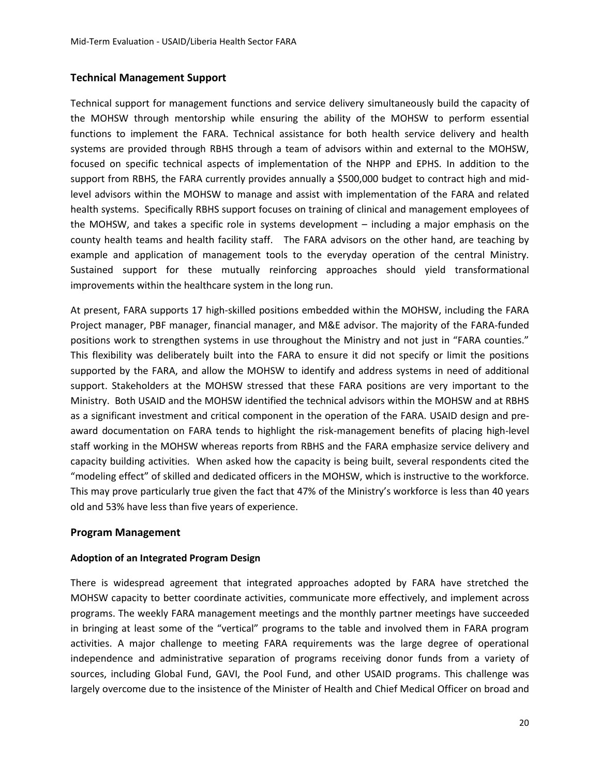#### **Technical Management Support**

Technical support for management functions and service delivery simultaneously build the capacity of the MOHSW through mentorship while ensuring the ability of the MOHSW to perform essential functions to implement the FARA. Technical assistance for both health service delivery and health systems are provided through RBHS through a team of advisors within and external to the MOHSW, focused on specific technical aspects of implementation of the NHPP and EPHS. In addition to the support from RBHS, the FARA currently provides annually a \$500,000 budget to contract high and midlevel advisors within the MOHSW to manage and assist with implementation of the FARA and related health systems. Specifically RBHS support focuses on training of clinical and management employees of the MOHSW, and takes a specific role in systems development – including a major emphasis on the county health teams and health facility staff. The FARA advisors on the other hand, are teaching by example and application of management tools to the everyday operation of the central Ministry. Sustained support for these mutually reinforcing approaches should yield transformational improvements within the healthcare system in the long run.

At present, FARA supports 17 high-skilled positions embedded within the MOHSW, including the FARA Project manager, PBF manager, financial manager, and M&E advisor. The majority of the FARA-funded positions work to strengthen systems in use throughout the Ministry and not just in "FARA counties." This flexibility was deliberately built into the FARA to ensure it did not specify or limit the positions supported by the FARA, and allow the MOHSW to identify and address systems in need of additional support. Stakeholders at the MOHSW stressed that these FARA positions are very important to the Ministry. Both USAID and the MOHSW identified the technical advisors within the MOHSW and at RBHS as a significant investment and critical component in the operation of the FARA. USAID design and preaward documentation on FARA tends to highlight the risk-management benefits of placing high-level staff working in the MOHSW whereas reports from RBHS and the FARA emphasize service delivery and capacity building activities. When asked how the capacity is being built, several respondents cited the "modeling effect" of skilled and dedicated officers in the MOHSW, which is instructive to the workforce. This may prove particularly true given the fact that 47% of the Ministry's workforce is less than 40 years old and 53% have less than five years of experience.

#### **Program Management**

#### **Adoption of an Integrated Program Design**

There is widespread agreement that integrated approaches adopted by FARA have stretched the MOHSW capacity to better coordinate activities, communicate more effectively, and implement across programs. The weekly FARA management meetings and the monthly partner meetings have succeeded in bringing at least some of the "vertical" programs to the table and involved them in FARA program activities. A major challenge to meeting FARA requirements was the large degree of operational independence and administrative separation of programs receiving donor funds from a variety of sources, including Global Fund, GAVI, the Pool Fund, and other USAID programs. This challenge was largely overcome due to the insistence of the Minister of Health and Chief Medical Officer on broad and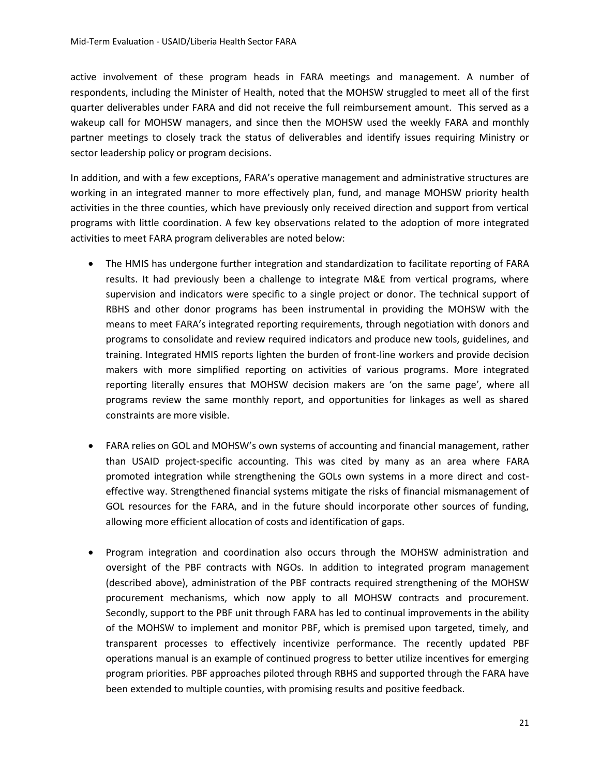active involvement of these program heads in FARA meetings and management. A number of respondents, including the Minister of Health, noted that the MOHSW struggled to meet all of the first quarter deliverables under FARA and did not receive the full reimbursement amount. This served as a wakeup call for MOHSW managers, and since then the MOHSW used the weekly FARA and monthly partner meetings to closely track the status of deliverables and identify issues requiring Ministry or sector leadership policy or program decisions.

In addition, and with a few exceptions, FARA's operative management and administrative structures are working in an integrated manner to more effectively plan, fund, and manage MOHSW priority health activities in the three counties, which have previously only received direction and support from vertical programs with little coordination. A few key observations related to the adoption of more integrated activities to meet FARA program deliverables are noted below:

- The HMIS has undergone further integration and standardization to facilitate reporting of FARA results. It had previously been a challenge to integrate M&E from vertical programs, where supervision and indicators were specific to a single project or donor. The technical support of RBHS and other donor programs has been instrumental in providing the MOHSW with the means to meet FARA's integrated reporting requirements, through negotiation with donors and programs to consolidate and review required indicators and produce new tools, guidelines, and training. Integrated HMIS reports lighten the burden of front-line workers and provide decision makers with more simplified reporting on activities of various programs. More integrated reporting literally ensures that MOHSW decision makers are 'on the same page', where all programs review the same monthly report, and opportunities for linkages as well as shared constraints are more visible.
- FARA relies on GOL and MOHSW's own systems of accounting and financial management, rather than USAID project-specific accounting. This was cited by many as an area where FARA promoted integration while strengthening the GOLs own systems in a more direct and costeffective way. Strengthened financial systems mitigate the risks of financial mismanagement of GOL resources for the FARA, and in the future should incorporate other sources of funding, allowing more efficient allocation of costs and identification of gaps.
- Program integration and coordination also occurs through the MOHSW administration and oversight of the PBF contracts with NGOs. In addition to integrated program management (described above), administration of the PBF contracts required strengthening of the MOHSW procurement mechanisms, which now apply to all MOHSW contracts and procurement. Secondly, support to the PBF unit through FARA has led to continual improvements in the ability of the MOHSW to implement and monitor PBF, which is premised upon targeted, timely, and transparent processes to effectively incentivize performance. The recently updated PBF operations manual is an example of continued progress to better utilize incentives for emerging program priorities. PBF approaches piloted through RBHS and supported through the FARA have been extended to multiple counties, with promising results and positive feedback.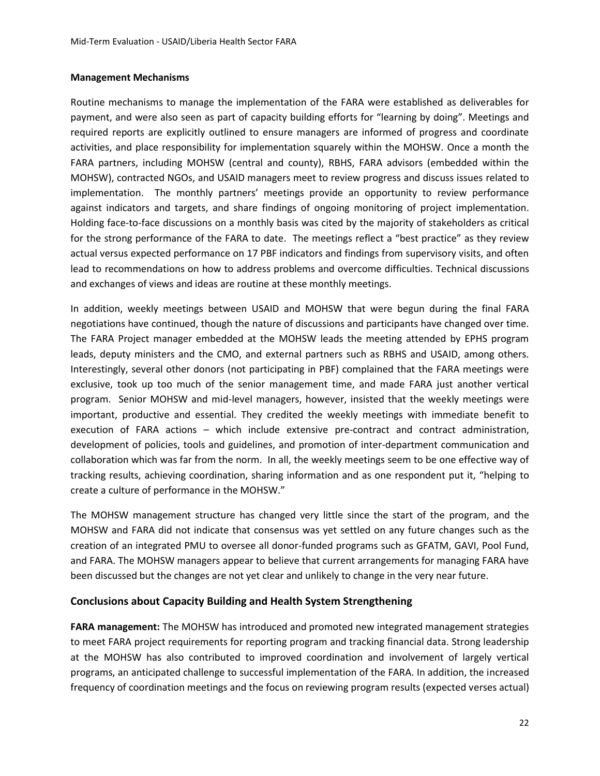#### **Management Mechanisms**

Routine mechanisms to manage the implementation of the FARA were established as deliverables for payment, and were also seen as part of capacity building efforts for "learning by doing". Meetings and required reports are explicitly outlined to ensure managers are informed of progress and coordinate activities, and place responsibility for implementation squarely within the MOHSW. Once a month the FARA partners, including MOHSW (central and county), RBHS, FARA advisors (embedded within the MOHSW), contracted NGOs, and USAID managers meet to review progress and discuss issues related to implementation. The monthly partners' meetings provide an opportunity to review performance against indicators and targets, and share findings of ongoing monitoring of project implementation. Holding face-to-face discussions on a monthly basis was cited by the majority of stakeholders as critical for the strong performance of the FARA to date. The meetings reflect a "best practice" as they review actual versus expected performance on 17 PBF indicators and findings from supervisory visits, and often lead to recommendations on how to address problems and overcome difficulties. Technical discussions and exchanges of views and ideas are routine at these monthly meetings.

In addition, weekly meetings between USAID and MOHSW that were begun during the final FARA negotiations have continued, though the nature of discussions and participants have changed over time. The FARA Project manager embedded at the MOHSW leads the meeting attended by EPHS program leads, deputy ministers and the CMO, and external partners such as RBHS and USAID, among others. Interestingly, several other donors (not participating in PBF) complained that the FARA meetings were exclusive, took up too much of the senior management time, and made FARA just another vertical program. Senior MOHSW and mid-level managers, however, insisted that the weekly meetings were important, productive and essential. They credited the weekly meetings with immediate benefit to execution of FARA actions – which include extensive pre-contract and contract administration, development of policies, tools and guidelines, and promotion of inter-department communication and collaboration which was far from the norm. In all, the weekly meetings seem to be one effective way of tracking results, achieving coordination, sharing information and as one respondent put it, "helping to create a culture of performance in the MOHSW."

The MOHSW management structure has changed very little since the start of the program, and the MOHSW and FARA did not indicate that consensus was yet settled on any future changes such as the creation of an integrated PMU to oversee all donor-funded programs such as GFATM, GAVI, Pool Fund, and FARA. The MOHSW managers appear to believe that current arrangements for managing FARA have been discussed but the changes are not yet clear and unlikely to change in the very near future.

#### **Conclusions about Capacity Building and Health System Strengthening**

**FARA management:** The MOHSW has introduced and promoted new integrated management strategies to meet FARA project requirements for reporting program and tracking financial data. Strong leadership at the MOHSW has also contributed to improved coordination and involvement of largely vertical programs, an anticipated challenge to successful implementation of the FARA. In addition, the increased frequency of coordination meetings and the focus on reviewing program results (expected verses actual)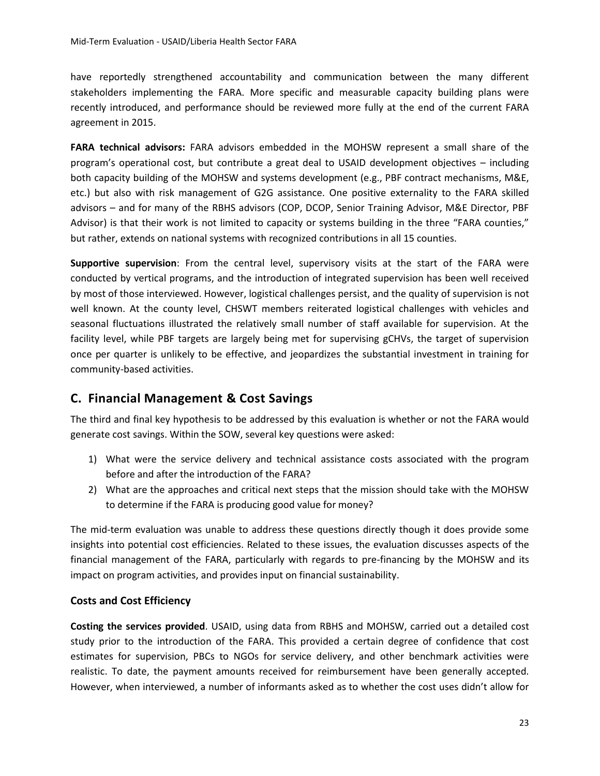have reportedly strengthened accountability and communication between the many different stakeholders implementing the FARA. More specific and measurable capacity building plans were recently introduced, and performance should be reviewed more fully at the end of the current FARA agreement in 2015.

**FARA technical advisors:** FARA advisors embedded in the MOHSW represent a small share of the program's operational cost, but contribute a great deal to USAID development objectives – including both capacity building of the MOHSW and systems development (e.g., PBF contract mechanisms, M&E, etc.) but also with risk management of G2G assistance. One positive externality to the FARA skilled advisors – and for many of the RBHS advisors (COP, DCOP, Senior Training Advisor, M&E Director, PBF Advisor) is that their work is not limited to capacity or systems building in the three "FARA counties," but rather, extends on national systems with recognized contributions in all 15 counties.

**Supportive supervision**: From the central level, supervisory visits at the start of the FARA were conducted by vertical programs, and the introduction of integrated supervision has been well received by most of those interviewed. However, logistical challenges persist, and the quality of supervision is not well known. At the county level, CHSWT members reiterated logistical challenges with vehicles and seasonal fluctuations illustrated the relatively small number of staff available for supervision. At the facility level, while PBF targets are largely being met for supervising gCHVs, the target of supervision once per quarter is unlikely to be effective, and jeopardizes the substantial investment in training for community-based activities.

## **C. Financial Management & Cost Savings**

The third and final key hypothesis to be addressed by this evaluation is whether or not the FARA would generate cost savings. Within the SOW, several key questions were asked:

- 1) What were the service delivery and technical assistance costs associated with the program before and after the introduction of the FARA?
- 2) What are the approaches and critical next steps that the mission should take with the MOHSW to determine if the FARA is producing good value for money?

The mid-term evaluation was unable to address these questions directly though it does provide some insights into potential cost efficiencies. Related to these issues, the evaluation discusses aspects of the financial management of the FARA, particularly with regards to pre-financing by the MOHSW and its impact on program activities, and provides input on financial sustainability.

## **Costs and Cost Efficiency**

**Costing the services provided**. USAID, using data from RBHS and MOHSW, carried out a detailed cost study prior to the introduction of the FARA. This provided a certain degree of confidence that cost estimates for supervision, PBCs to NGOs for service delivery, and other benchmark activities were realistic. To date, the payment amounts received for reimbursement have been generally accepted. However, when interviewed, a number of informants asked as to whether the cost uses didn't allow for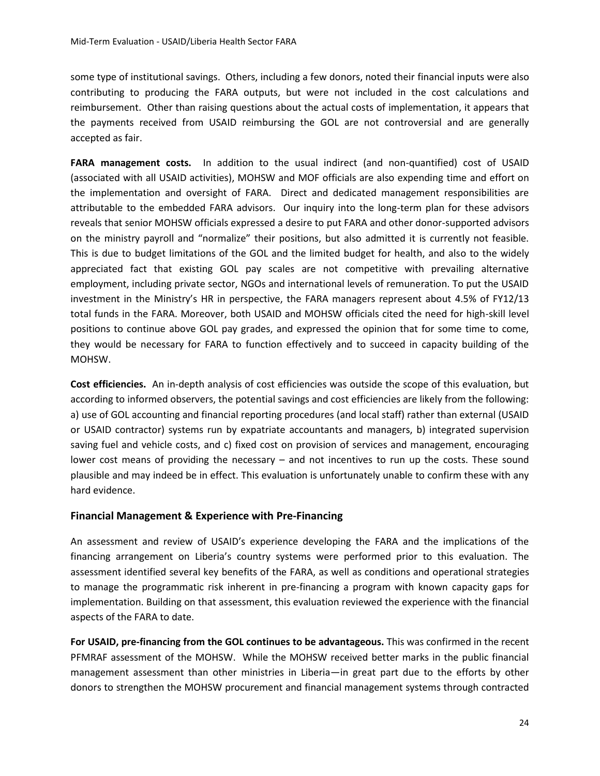some type of institutional savings. Others, including a few donors, noted their financial inputs were also contributing to producing the FARA outputs, but were not included in the cost calculations and reimbursement. Other than raising questions about the actual costs of implementation, it appears that the payments received from USAID reimbursing the GOL are not controversial and are generally accepted as fair.

**FARA management costs.** In addition to the usual indirect (and non-quantified) cost of USAID (associated with all USAID activities), MOHSW and MOF officials are also expending time and effort on the implementation and oversight of FARA. Direct and dedicated management responsibilities are attributable to the embedded FARA advisors. Our inquiry into the long-term plan for these advisors reveals that senior MOHSW officials expressed a desire to put FARA and other donor-supported advisors on the ministry payroll and "normalize" their positions, but also admitted it is currently not feasible. This is due to budget limitations of the GOL and the limited budget for health, and also to the widely appreciated fact that existing GOL pay scales are not competitive with prevailing alternative employment, including private sector, NGOs and international levels of remuneration. To put the USAID investment in the Ministry's HR in perspective, the FARA managers represent about 4.5% of FY12/13 total funds in the FARA. Moreover, both USAID and MOHSW officials cited the need for high-skill level positions to continue above GOL pay grades, and expressed the opinion that for some time to come, they would be necessary for FARA to function effectively and to succeed in capacity building of the MOHSW.

**Cost efficiencies.** An in-depth analysis of cost efficiencies was outside the scope of this evaluation, but according to informed observers, the potential savings and cost efficiencies are likely from the following: a) use of GOL accounting and financial reporting procedures (and local staff) rather than external (USAID or USAID contractor) systems run by expatriate accountants and managers, b) integrated supervision saving fuel and vehicle costs, and c) fixed cost on provision of services and management, encouraging lower cost means of providing the necessary – and not incentives to run up the costs. These sound plausible and may indeed be in effect. This evaluation is unfortunately unable to confirm these with any hard evidence.

## **Financial Management & Experience with Pre-Financing**

An assessment and review of USAID's experience developing the FARA and the implications of the financing arrangement on Liberia's country systems were performed prior to this evaluation. The assessment identified several key benefits of the FARA, as well as conditions and operational strategies to manage the programmatic risk inherent in pre-financing a program with known capacity gaps for implementation. Building on that assessment, this evaluation reviewed the experience with the financial aspects of the FARA to date.

**For USAID, pre-financing from the GOL continues to be advantageous.** This was confirmed in the recent PFMRAF assessment of the MOHSW. While the MOHSW received better marks in the public financial management assessment than other ministries in Liberia—in great part due to the efforts by other donors to strengthen the MOHSW procurement and financial management systems through contracted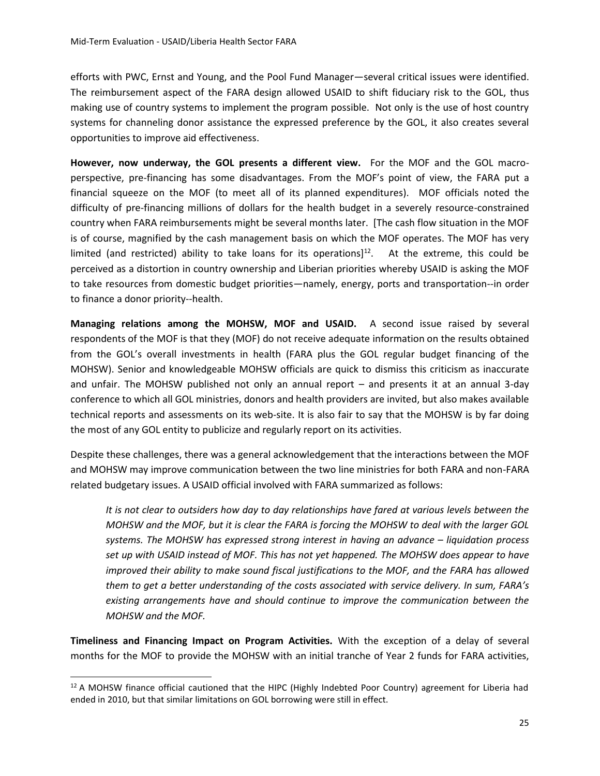efforts with PWC, Ernst and Young, and the Pool Fund Manager—several critical issues were identified. The reimbursement aspect of the FARA design allowed USAID to shift fiduciary risk to the GOL, thus making use of country systems to implement the program possible. Not only is the use of host country systems for channeling donor assistance the expressed preference by the GOL, it also creates several opportunities to improve aid effectiveness.

**However, now underway, the GOL presents a different view.** For the MOF and the GOL macroperspective, pre-financing has some disadvantages. From the MOF's point of view, the FARA put a financial squeeze on the MOF (to meet all of its planned expenditures). MOF officials noted the difficulty of pre-financing millions of dollars for the health budget in a severely resource-constrained country when FARA reimbursements might be several months later. [The cash flow situation in the MOF is of course, magnified by the cash management basis on which the MOF operates. The MOF has very limited (and restricted) ability to take loans for its operations] $12$ . At the extreme, this could be perceived as a distortion in country ownership and Liberian priorities whereby USAID is asking the MOF to take resources from domestic budget priorities—namely, energy, ports and transportation--in order to finance a donor priority--health.

**Managing relations among the MOHSW, MOF and USAID.** A second issue raised by several respondents of the MOF is that they (MOF) do not receive adequate information on the results obtained from the GOL's overall investments in health (FARA plus the GOL regular budget financing of the MOHSW). Senior and knowledgeable MOHSW officials are quick to dismiss this criticism as inaccurate and unfair. The MOHSW published not only an annual report – and presents it at an annual 3-day conference to which all GOL ministries, donors and health providers are invited, but also makes available technical reports and assessments on its web-site. It is also fair to say that the MOHSW is by far doing the most of any GOL entity to publicize and regularly report on its activities.

Despite these challenges, there was a general acknowledgement that the interactions between the MOF and MOHSW may improve communication between the two line ministries for both FARA and non-FARA related budgetary issues. A USAID official involved with FARA summarized as follows:

*It is not clear to outsiders how day to day relationships have fared at various levels between the MOHSW and the MOF, but it is clear the FARA is forcing the MOHSW to deal with the larger GOL systems. The MOHSW has expressed strong interest in having an advance – liquidation process set up with USAID instead of MOF. This has not yet happened. The MOHSW does appear to have improved their ability to make sound fiscal justifications to the MOF, and the FARA has allowed them to get a better understanding of the costs associated with service delivery. In sum, FARA's existing arrangements have and should continue to improve the communication between the MOHSW and the MOF.* 

**Timeliness and Financing Impact on Program Activities.** With the exception of a delay of several months for the MOF to provide the MOHSW with an initial tranche of Year 2 funds for FARA activities,

 $\overline{a}$ 

 $12$  A MOHSW finance official cautioned that the HIPC (Highly Indebted Poor Country) agreement for Liberia had ended in 2010, but that similar limitations on GOL borrowing were still in effect.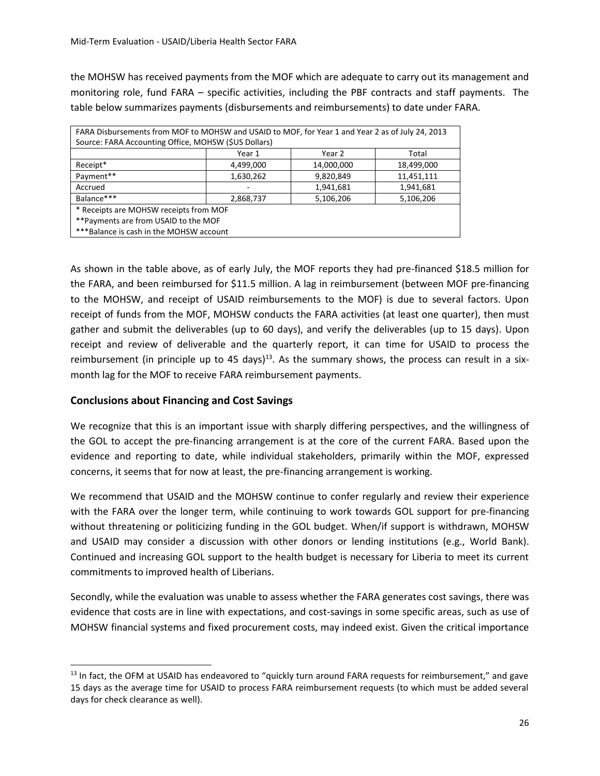the MOHSW has received payments from the MOF which are adequate to carry out its management and monitoring role, fund FARA – specific activities, including the PBF contracts and staff payments. The table below summarizes payments (disbursements and reimbursements) to date under FARA.

| FARA Disbursements from MOF to MOHSW and USAID to MOF, for Year 1 and Year 2 as of July 24, 2013 |           |            |            |  |  |  |
|--------------------------------------------------------------------------------------------------|-----------|------------|------------|--|--|--|
| Source: FARA Accounting Office, MOHSW (\$US Dollars)                                             |           |            |            |  |  |  |
|                                                                                                  | Year 1    | Year 2     | Total      |  |  |  |
| Receipt*                                                                                         | 4,499,000 | 14,000,000 | 18,499,000 |  |  |  |
| Payment**                                                                                        | 1,630,262 | 9,820,849  | 11,451,111 |  |  |  |
| Accrued                                                                                          |           | 1,941,681  | 1,941,681  |  |  |  |
| Balance***                                                                                       | 2,868,737 | 5,106,206  | 5,106,206  |  |  |  |
| * Receipts are MOHSW receipts from MOF                                                           |           |            |            |  |  |  |
| ** Payments are from USAID to the MOF                                                            |           |            |            |  |  |  |
| *** Balance is cash in the MOHSW account                                                         |           |            |            |  |  |  |

As shown in the table above, as of early July, the MOF reports they had pre-financed \$18.5 million for the FARA, and been reimbursed for \$11.5 million. A lag in reimbursement (between MOF pre-financing to the MOHSW, and receipt of USAID reimbursements to the MOF) is due to several factors. Upon receipt of funds from the MOF, MOHSW conducts the FARA activities (at least one quarter), then must gather and submit the deliverables (up to 60 days), and verify the deliverables (up to 15 days). Upon receipt and review of deliverable and the quarterly report, it can time for USAID to process the reimbursement (in principle up to 45 days)<sup>13</sup>. As the summary shows, the process can result in a sixmonth lag for the MOF to receive FARA reimbursement payments.

## **Conclusions about Financing and Cost Savings**

 $\overline{a}$ 

We recognize that this is an important issue with sharply differing perspectives, and the willingness of the GOL to accept the pre-financing arrangement is at the core of the current FARA. Based upon the evidence and reporting to date, while individual stakeholders, primarily within the MOF, expressed concerns, it seems that for now at least, the pre-financing arrangement is working.

We recommend that USAID and the MOHSW continue to confer regularly and review their experience with the FARA over the longer term, while continuing to work towards GOL support for pre-financing without threatening or politicizing funding in the GOL budget. When/if support is withdrawn, MOHSW and USAID may consider a discussion with other donors or lending institutions (e.g., World Bank). Continued and increasing GOL support to the health budget is necessary for Liberia to meet its current commitments to improved health of Liberians.

Secondly, while the evaluation was unable to assess whether the FARA generates cost savings, there was evidence that costs are in line with expectations, and cost-savings in some specific areas, such as use of MOHSW financial systems and fixed procurement costs, may indeed exist. Given the critical importance

 $13$  In fact, the OFM at USAID has endeavored to "quickly turn around FARA requests for reimbursement," and gave 15 days as the average time for USAID to process FARA reimbursement requests (to which must be added several days for check clearance as well).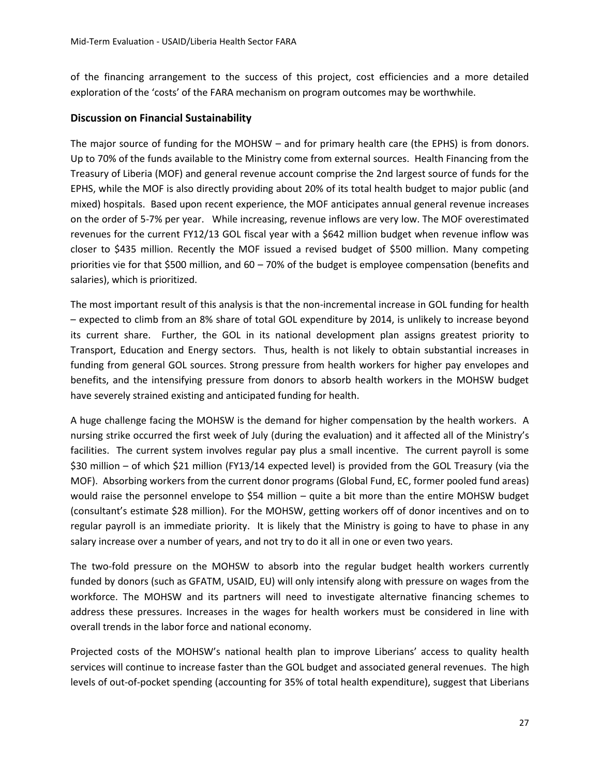of the financing arrangement to the success of this project, cost efficiencies and a more detailed exploration of the 'costs' of the FARA mechanism on program outcomes may be worthwhile.

## **Discussion on Financial Sustainability**

The major source of funding for the MOHSW – and for primary health care (the EPHS) is from donors. Up to 70% of the funds available to the Ministry come from external sources. Health Financing from the Treasury of Liberia (MOF) and general revenue account comprise the 2nd largest source of funds for the EPHS, while the MOF is also directly providing about 20% of its total health budget to major public (and mixed) hospitals. Based upon recent experience, the MOF anticipates annual general revenue increases on the order of 5-7% per year. While increasing, revenue inflows are very low. The MOF overestimated revenues for the current FY12/13 GOL fiscal year with a \$642 million budget when revenue inflow was closer to \$435 million. Recently the MOF issued a revised budget of \$500 million. Many competing priorities vie for that \$500 million, and 60 – 70% of the budget is employee compensation (benefits and salaries), which is prioritized.

The most important result of this analysis is that the non-incremental increase in GOL funding for health – expected to climb from an 8% share of total GOL expenditure by 2014, is unlikely to increase beyond its current share. Further, the GOL in its national development plan assigns greatest priority to Transport, Education and Energy sectors. Thus, health is not likely to obtain substantial increases in funding from general GOL sources. Strong pressure from health workers for higher pay envelopes and benefits, and the intensifying pressure from donors to absorb health workers in the MOHSW budget have severely strained existing and anticipated funding for health.

A huge challenge facing the MOHSW is the demand for higher compensation by the health workers. A nursing strike occurred the first week of July (during the evaluation) and it affected all of the Ministry's facilities. The current system involves regular pay plus a small incentive. The current payroll is some \$30 million – of which \$21 million (FY13/14 expected level) is provided from the GOL Treasury (via the MOF). Absorbing workers from the current donor programs (Global Fund, EC, former pooled fund areas) would raise the personnel envelope to \$54 million – quite a bit more than the entire MOHSW budget (consultant's estimate \$28 million). For the MOHSW, getting workers off of donor incentives and on to regular payroll is an immediate priority. It is likely that the Ministry is going to have to phase in any salary increase over a number of years, and not try to do it all in one or even two years.

The two-fold pressure on the MOHSW to absorb into the regular budget health workers currently funded by donors (such as GFATM, USAID, EU) will only intensify along with pressure on wages from the workforce. The MOHSW and its partners will need to investigate alternative financing schemes to address these pressures. Increases in the wages for health workers must be considered in line with overall trends in the labor force and national economy.

Projected costs of the MOHSW's national health plan to improve Liberians' access to quality health services will continue to increase faster than the GOL budget and associated general revenues. The high levels of out-of-pocket spending (accounting for 35% of total health expenditure), suggest that Liberians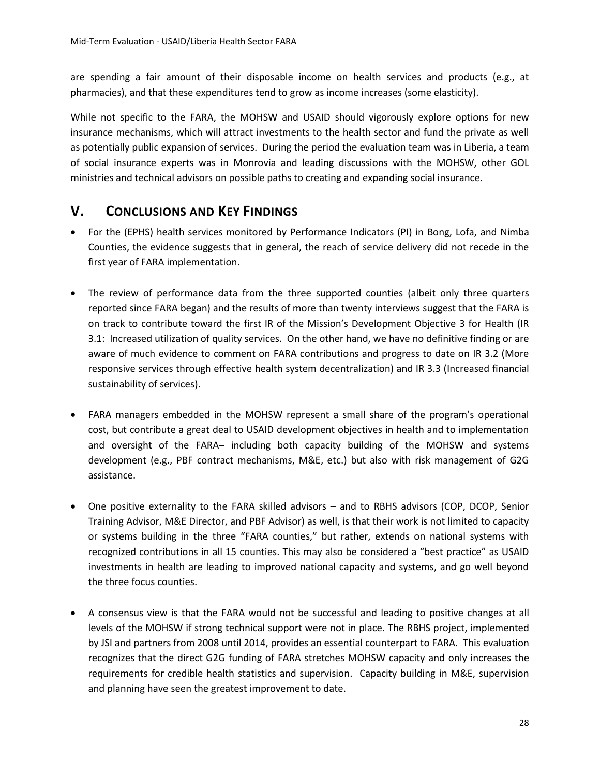are spending a fair amount of their disposable income on health services and products (e.g., at pharmacies), and that these expenditures tend to grow as income increases (some elasticity).

While not specific to the FARA, the MOHSW and USAID should vigorously explore options for new insurance mechanisms, which will attract investments to the health sector and fund the private as well as potentially public expansion of services. During the period the evaluation team was in Liberia, a team of social insurance experts was in Monrovia and leading discussions with the MOHSW, other GOL ministries and technical advisors on possible paths to creating and expanding social insurance.

# **V. CONCLUSIONS AND KEY FINDINGS**

- For the (EPHS) health services monitored by Performance Indicators (PI) in Bong, Lofa, and Nimba Counties, the evidence suggests that in general, the reach of service delivery did not recede in the first year of FARA implementation.
- The review of performance data from the three supported counties (albeit only three quarters reported since FARA began) and the results of more than twenty interviews suggest that the FARA is on track to contribute toward the first IR of the Mission's Development Objective 3 for Health (IR 3.1: Increased utilization of quality services. On the other hand, we have no definitive finding or are aware of much evidence to comment on FARA contributions and progress to date on IR 3.2 (More responsive services through effective health system decentralization) and IR 3.3 (Increased financial sustainability of services).
- FARA managers embedded in the MOHSW represent a small share of the program's operational cost, but contribute a great deal to USAID development objectives in health and to implementation and oversight of the FARA– including both capacity building of the MOHSW and systems development (e.g., PBF contract mechanisms, M&E, etc.) but also with risk management of G2G assistance.
- One positive externality to the FARA skilled advisors and to RBHS advisors (COP, DCOP, Senior Training Advisor, M&E Director, and PBF Advisor) as well, is that their work is not limited to capacity or systems building in the three "FARA counties," but rather, extends on national systems with recognized contributions in all 15 counties. This may also be considered a "best practice" as USAID investments in health are leading to improved national capacity and systems, and go well beyond the three focus counties.
- A consensus view is that the FARA would not be successful and leading to positive changes at all levels of the MOHSW if strong technical support were not in place. The RBHS project, implemented by JSI and partners from 2008 until 2014, provides an essential counterpart to FARA. This evaluation recognizes that the direct G2G funding of FARA stretches MOHSW capacity and only increases the requirements for credible health statistics and supervision. Capacity building in M&E, supervision and planning have seen the greatest improvement to date.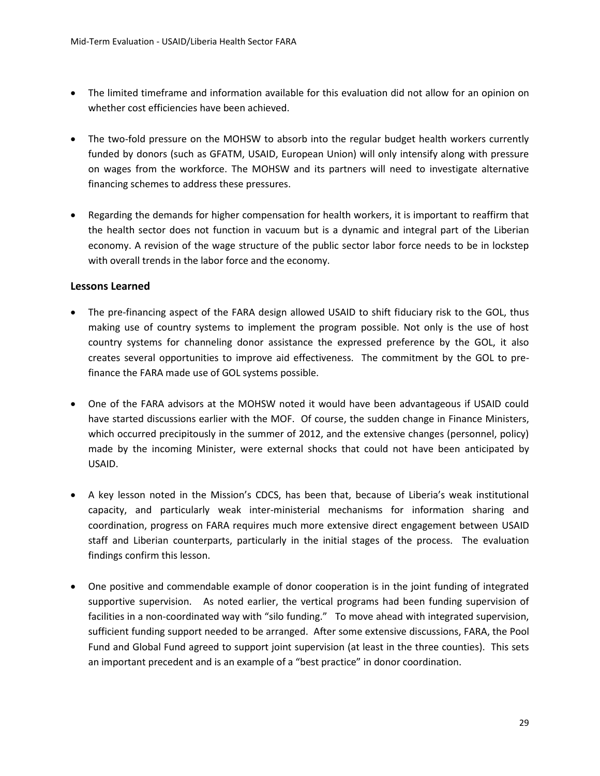- The limited timeframe and information available for this evaluation did not allow for an opinion on whether cost efficiencies have been achieved.
- The two-fold pressure on the MOHSW to absorb into the regular budget health workers currently funded by donors (such as GFATM, USAID, European Union) will only intensify along with pressure on wages from the workforce. The MOHSW and its partners will need to investigate alternative financing schemes to address these pressures.
- Regarding the demands for higher compensation for health workers, it is important to reaffirm that the health sector does not function in vacuum but is a dynamic and integral part of the Liberian economy. A revision of the wage structure of the public sector labor force needs to be in lockstep with overall trends in the labor force and the economy.

#### **Lessons Learned**

- The pre-financing aspect of the FARA design allowed USAID to shift fiduciary risk to the GOL, thus making use of country systems to implement the program possible. Not only is the use of host country systems for channeling donor assistance the expressed preference by the GOL, it also creates several opportunities to improve aid effectiveness. The commitment by the GOL to prefinance the FARA made use of GOL systems possible.
- One of the FARA advisors at the MOHSW noted it would have been advantageous if USAID could have started discussions earlier with the MOF. Of course, the sudden change in Finance Ministers, which occurred precipitously in the summer of 2012, and the extensive changes (personnel, policy) made by the incoming Minister, were external shocks that could not have been anticipated by USAID.
- A key lesson noted in the Mission's CDCS, has been that, because of Liberia's weak institutional capacity, and particularly weak inter-ministerial mechanisms for information sharing and coordination, progress on FARA requires much more extensive direct engagement between USAID staff and Liberian counterparts, particularly in the initial stages of the process. The evaluation findings confirm this lesson.
- One positive and commendable example of donor cooperation is in the joint funding of integrated supportive supervision. As noted earlier, the vertical programs had been funding supervision of facilities in a non-coordinated way with "silo funding." To move ahead with integrated supervision, sufficient funding support needed to be arranged. After some extensive discussions, FARA, the Pool Fund and Global Fund agreed to support joint supervision (at least in the three counties). This sets an important precedent and is an example of a "best practice" in donor coordination.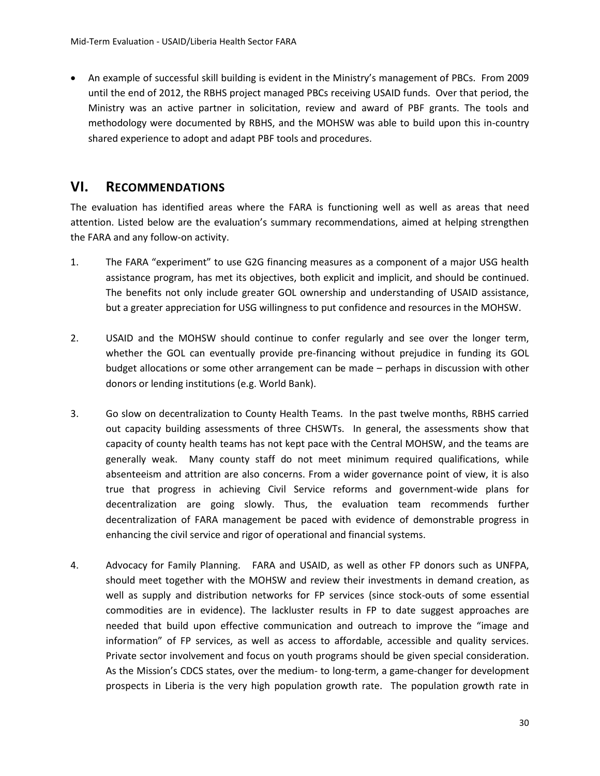An example of successful skill building is evident in the Ministry's management of PBCs. From 2009 until the end of 2012, the RBHS project managed PBCs receiving USAID funds. Over that period, the Ministry was an active partner in solicitation, review and award of PBF grants. The tools and methodology were documented by RBHS, and the MOHSW was able to build upon this in-country shared experience to adopt and adapt PBF tools and procedures.

## **VI. RECOMMENDATIONS**

The evaluation has identified areas where the FARA is functioning well as well as areas that need attention. Listed below are the evaluation's summary recommendations, aimed at helping strengthen the FARA and any follow-on activity.

- 1. The FARA "experiment" to use G2G financing measures as a component of a major USG health assistance program, has met its objectives, both explicit and implicit, and should be continued. The benefits not only include greater GOL ownership and understanding of USAID assistance, but a greater appreciation for USG willingness to put confidence and resources in the MOHSW.
- 2. USAID and the MOHSW should continue to confer regularly and see over the longer term, whether the GOL can eventually provide pre-financing without prejudice in funding its GOL budget allocations or some other arrangement can be made – perhaps in discussion with other donors or lending institutions (e.g. World Bank).
- 3. Go slow on decentralization to County Health Teams. In the past twelve months, RBHS carried out capacity building assessments of three CHSWTs. In general, the assessments show that capacity of county health teams has not kept pace with the Central MOHSW, and the teams are generally weak. Many county staff do not meet minimum required qualifications, while absenteeism and attrition are also concerns. From a wider governance point of view, it is also true that progress in achieving Civil Service reforms and government-wide plans for decentralization are going slowly. Thus, the evaluation team recommends further decentralization of FARA management be paced with evidence of demonstrable progress in enhancing the civil service and rigor of operational and financial systems.
- 4. Advocacy for Family Planning. FARA and USAID, as well as other FP donors such as UNFPA, should meet together with the MOHSW and review their investments in demand creation, as well as supply and distribution networks for FP services (since stock-outs of some essential commodities are in evidence). The lackluster results in FP to date suggest approaches are needed that build upon effective communication and outreach to improve the "image and information" of FP services, as well as access to affordable, accessible and quality services. Private sector involvement and focus on youth programs should be given special consideration. As the Mission's CDCS states, over the medium- to long-term, a game-changer for development prospects in Liberia is the very high population growth rate. The population growth rate in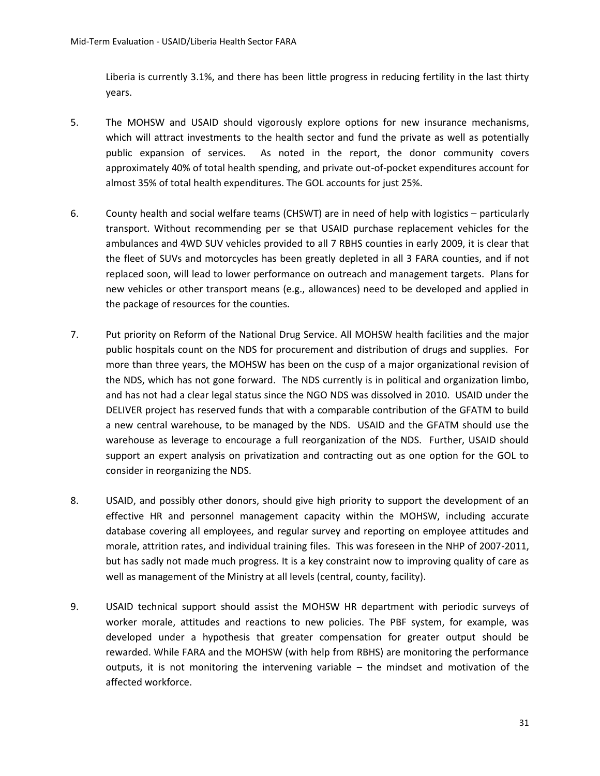Liberia is currently 3.1%, and there has been little progress in reducing fertility in the last thirty years.

- 5. The MOHSW and USAID should vigorously explore options for new insurance mechanisms, which will attract investments to the health sector and fund the private as well as potentially public expansion of services. As noted in the report, the donor community covers approximately 40% of total health spending, and private out-of-pocket expenditures account for almost 35% of total health expenditures. The GOL accounts for just 25%.
- 6. County health and social welfare teams (CHSWT) are in need of help with logistics particularly transport. Without recommending per se that USAID purchase replacement vehicles for the ambulances and 4WD SUV vehicles provided to all 7 RBHS counties in early 2009, it is clear that the fleet of SUVs and motorcycles has been greatly depleted in all 3 FARA counties, and if not replaced soon, will lead to lower performance on outreach and management targets. Plans for new vehicles or other transport means (e.g., allowances) need to be developed and applied in the package of resources for the counties.
- 7. Put priority on Reform of the National Drug Service. All MOHSW health facilities and the major public hospitals count on the NDS for procurement and distribution of drugs and supplies. For more than three years, the MOHSW has been on the cusp of a major organizational revision of the NDS, which has not gone forward. The NDS currently is in political and organization limbo, and has not had a clear legal status since the NGO NDS was dissolved in 2010. USAID under the DELIVER project has reserved funds that with a comparable contribution of the GFATM to build a new central warehouse, to be managed by the NDS. USAID and the GFATM should use the warehouse as leverage to encourage a full reorganization of the NDS. Further, USAID should support an expert analysis on privatization and contracting out as one option for the GOL to consider in reorganizing the NDS.
- 8. USAID, and possibly other donors, should give high priority to support the development of an effective HR and personnel management capacity within the MOHSW, including accurate database covering all employees, and regular survey and reporting on employee attitudes and morale, attrition rates, and individual training files. This was foreseen in the NHP of 2007-2011, but has sadly not made much progress. It is a key constraint now to improving quality of care as well as management of the Ministry at all levels (central, county, facility).
- 9. USAID technical support should assist the MOHSW HR department with periodic surveys of worker morale, attitudes and reactions to new policies. The PBF system, for example, was developed under a hypothesis that greater compensation for greater output should be rewarded. While FARA and the MOHSW (with help from RBHS) are monitoring the performance outputs, it is not monitoring the intervening variable – the mindset and motivation of the affected workforce.